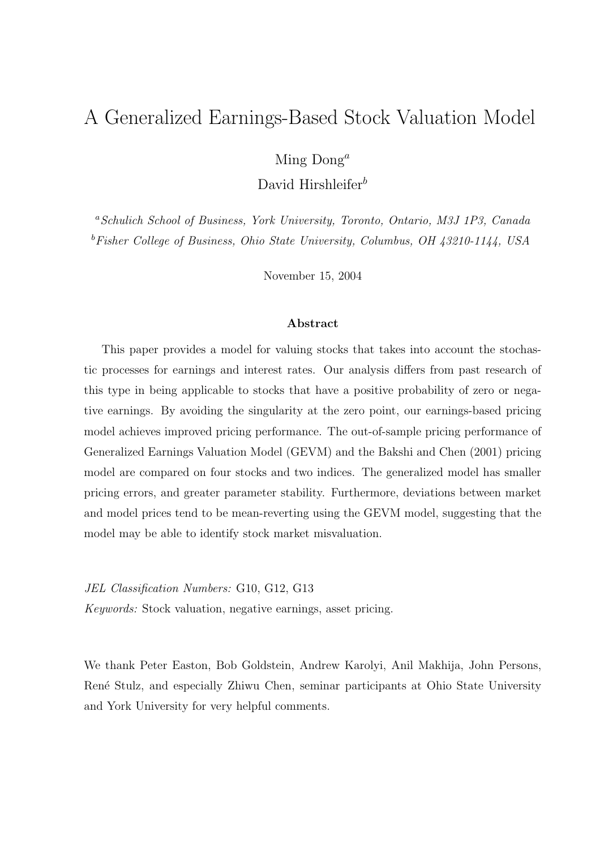# A Generalized Earnings-Based Stock Valuation Model

Ming  $Dong^a$ 

David Hirshleifer $^b$ 

<sup>a</sup>Schulich School of Business, York University, Toronto, Ontario, M3J 1P3, Canada <sup>b</sup>Fisher College of Business, Ohio State University, Columbus, OH 43210-1144, USA

November 15, 2004

#### Abstract

This paper provides a model for valuing stocks that takes into account the stochastic processes for earnings and interest rates. Our analysis differs from past research of this type in being applicable to stocks that have a positive probability of zero or negative earnings. By avoiding the singularity at the zero point, our earnings-based pricing model achieves improved pricing performance. The out-of-sample pricing performance of Generalized Earnings Valuation Model (GEVM) and the Bakshi and Chen (2001) pricing model are compared on four stocks and two indices. The generalized model has smaller pricing errors, and greater parameter stability. Furthermore, deviations between market and model prices tend to be mean-reverting using the GEVM model, suggesting that the model may be able to identify stock market misvaluation.

JEL Classification Numbers: G10, G12, G13

Keywords: Stock valuation, negative earnings, asset pricing.

We thank Peter Easton, Bob Goldstein, Andrew Karolyi, Anil Makhija, John Persons, Ren´e Stulz, and especially Zhiwu Chen, seminar participants at Ohio State University and York University for very helpful comments.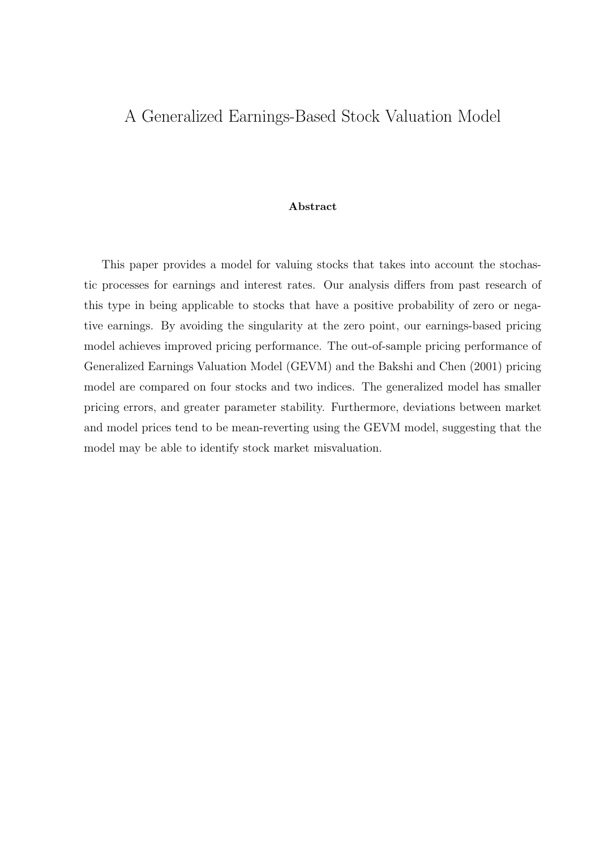# A Generalized Earnings-Based Stock Valuation Model

#### Abstract

This paper provides a model for valuing stocks that takes into account the stochastic processes for earnings and interest rates. Our analysis differs from past research of this type in being applicable to stocks that have a positive probability of zero or negative earnings. By avoiding the singularity at the zero point, our earnings-based pricing model achieves improved pricing performance. The out-of-sample pricing performance of Generalized Earnings Valuation Model (GEVM) and the Bakshi and Chen (2001) pricing model are compared on four stocks and two indices. The generalized model has smaller pricing errors, and greater parameter stability. Furthermore, deviations between market and model prices tend to be mean-reverting using the GEVM model, suggesting that the model may be able to identify stock market misvaluation.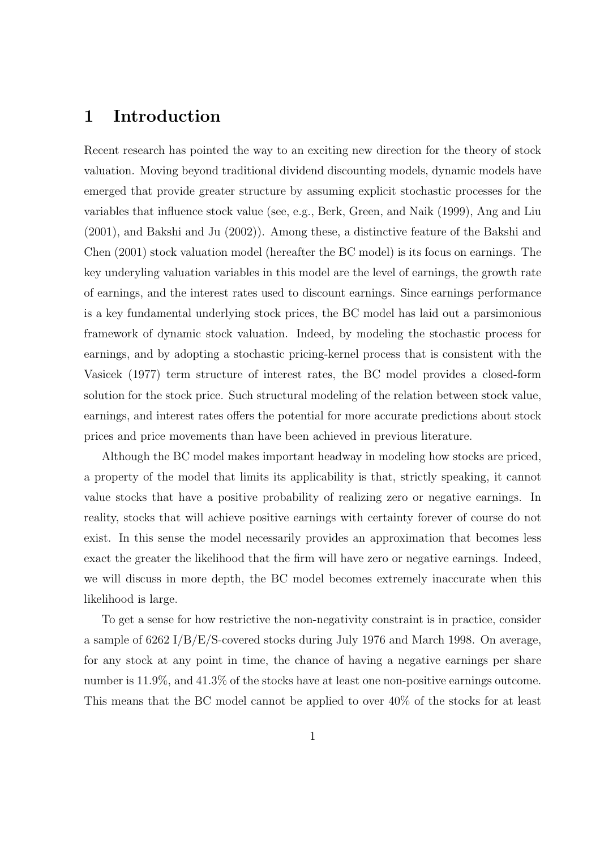# 1 Introduction

Recent research has pointed the way to an exciting new direction for the theory of stock valuation. Moving beyond traditional dividend discounting models, dynamic models have emerged that provide greater structure by assuming explicit stochastic processes for the variables that influence stock value (see, e.g., Berk, Green, and Naik (1999), Ang and Liu (2001), and Bakshi and Ju (2002)). Among these, a distinctive feature of the Bakshi and Chen (2001) stock valuation model (hereafter the BC model) is its focus on earnings. The key underyling valuation variables in this model are the level of earnings, the growth rate of earnings, and the interest rates used to discount earnings. Since earnings performance is a key fundamental underlying stock prices, the BC model has laid out a parsimonious framework of dynamic stock valuation. Indeed, by modeling the stochastic process for earnings, and by adopting a stochastic pricing-kernel process that is consistent with the Vasicek (1977) term structure of interest rates, the BC model provides a closed-form solution for the stock price. Such structural modeling of the relation between stock value, earnings, and interest rates offers the potential for more accurate predictions about stock prices and price movements than have been achieved in previous literature.

Although the BC model makes important headway in modeling how stocks are priced, a property of the model that limits its applicability is that, strictly speaking, it cannot value stocks that have a positive probability of realizing zero or negative earnings. In reality, stocks that will achieve positive earnings with certainty forever of course do not exist. In this sense the model necessarily provides an approximation that becomes less exact the greater the likelihood that the firm will have zero or negative earnings. Indeed, we will discuss in more depth, the BC model becomes extremely inaccurate when this likelihood is large.

To get a sense for how restrictive the non-negativity constraint is in practice, consider a sample of 6262 I/B/E/S-covered stocks during July 1976 and March 1998. On average, for any stock at any point in time, the chance of having a negative earnings per share number is 11.9%, and 41.3% of the stocks have at least one non-positive earnings outcome. This means that the BC model cannot be applied to over 40% of the stocks for at least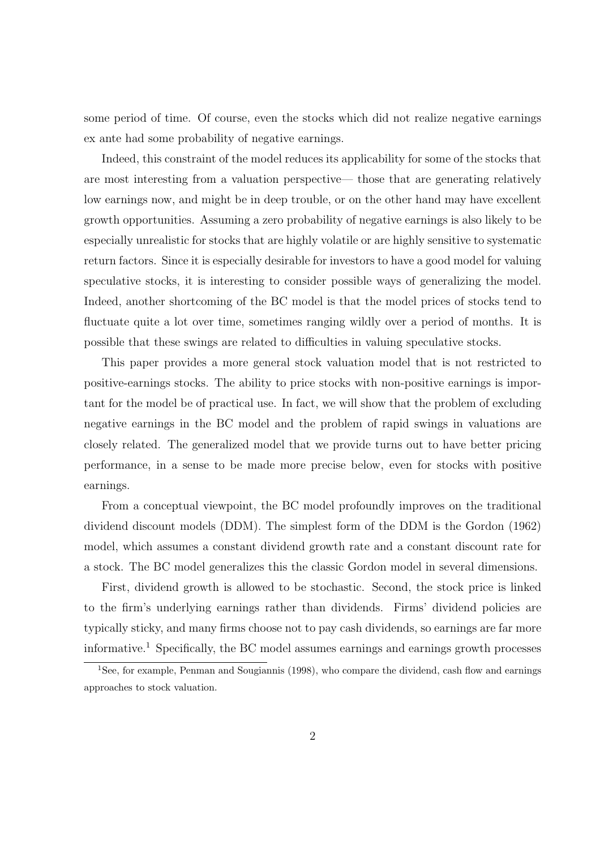some period of time. Of course, even the stocks which did not realize negative earnings ex ante had some probability of negative earnings.

Indeed, this constraint of the model reduces its applicability for some of the stocks that are most interesting from a valuation perspective— those that are generating relatively low earnings now, and might be in deep trouble, or on the other hand may have excellent growth opportunities. Assuming a zero probability of negative earnings is also likely to be especially unrealistic for stocks that are highly volatile or are highly sensitive to systematic return factors. Since it is especially desirable for investors to have a good model for valuing speculative stocks, it is interesting to consider possible ways of generalizing the model. Indeed, another shortcoming of the BC model is that the model prices of stocks tend to fluctuate quite a lot over time, sometimes ranging wildly over a period of months. It is possible that these swings are related to difficulties in valuing speculative stocks.

This paper provides a more general stock valuation model that is not restricted to positive-earnings stocks. The ability to price stocks with non-positive earnings is important for the model be of practical use. In fact, we will show that the problem of excluding negative earnings in the BC model and the problem of rapid swings in valuations are closely related. The generalized model that we provide turns out to have better pricing performance, in a sense to be made more precise below, even for stocks with positive earnings.

From a conceptual viewpoint, the BC model profoundly improves on the traditional dividend discount models (DDM). The simplest form of the DDM is the Gordon (1962) model, which assumes a constant dividend growth rate and a constant discount rate for a stock. The BC model generalizes this the classic Gordon model in several dimensions.

First, dividend growth is allowed to be stochastic. Second, the stock price is linked to the firm's underlying earnings rather than dividends. Firms' dividend policies are typically sticky, and many firms choose not to pay cash dividends, so earnings are far more informative.<sup>1</sup> Specifically, the BC model assumes earnings and earnings growth processes

<sup>1</sup>See, for example, Penman and Sougiannis (1998), who compare the dividend, cash flow and earnings approaches to stock valuation.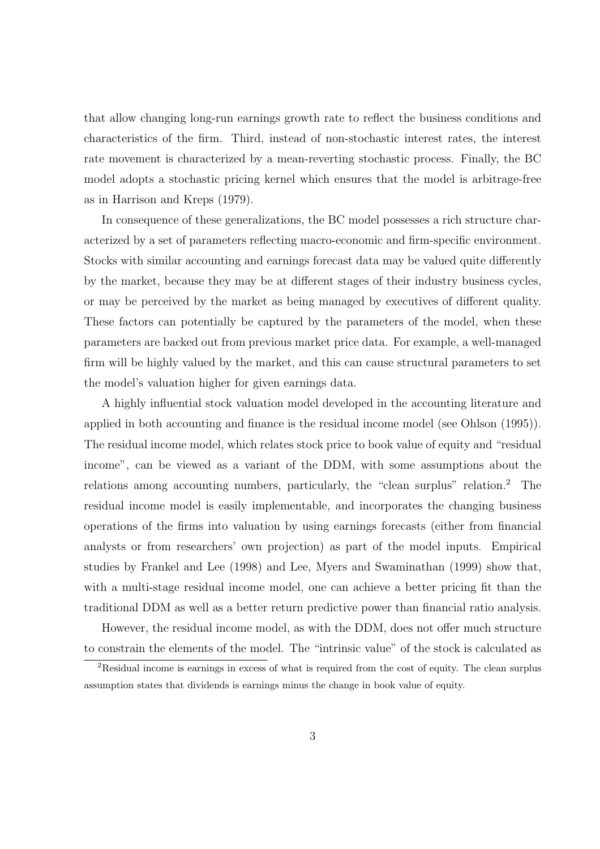that allow changing long-run earnings growth rate to reflect the business conditions and characteristics of the firm. Third, instead of non-stochastic interest rates, the interest rate movement is characterized by a mean-reverting stochastic process. Finally, the BC model adopts a stochastic pricing kernel which ensures that the model is arbitrage-free as in Harrison and Kreps (1979).

In consequence of these generalizations, the BC model possesses a rich structure characterized by a set of parameters reflecting macro-economic and firm-specific environment. Stocks with similar accounting and earnings forecast data may be valued quite differently by the market, because they may be at different stages of their industry business cycles, or may be perceived by the market as being managed by executives of different quality. These factors can potentially be captured by the parameters of the model, when these parameters are backed out from previous market price data. For example, a well-managed firm will be highly valued by the market, and this can cause structural parameters to set the model's valuation higher for given earnings data.

A highly influential stock valuation model developed in the accounting literature and applied in both accounting and finance is the residual income model (see Ohlson (1995)). The residual income model, which relates stock price to book value of equity and "residual income", can be viewed as a variant of the DDM, with some assumptions about the relations among accounting numbers, particularly, the "clean surplus" relation.<sup>2</sup> The residual income model is easily implementable, and incorporates the changing business operations of the firms into valuation by using earnings forecasts (either from financial analysts or from researchers' own projection) as part of the model inputs. Empirical studies by Frankel and Lee (1998) and Lee, Myers and Swaminathan (1999) show that, with a multi-stage residual income model, one can achieve a better pricing fit than the traditional DDM as well as a better return predictive power than financial ratio analysis.

However, the residual income model, as with the DDM, does not offer much structure to constrain the elements of the model. The "intrinsic value" of the stock is calculated as

 ${}^{2}$ Residual income is earnings in excess of what is required from the cost of equity. The clean surplus assumption states that dividends is earnings minus the change in book value of equity.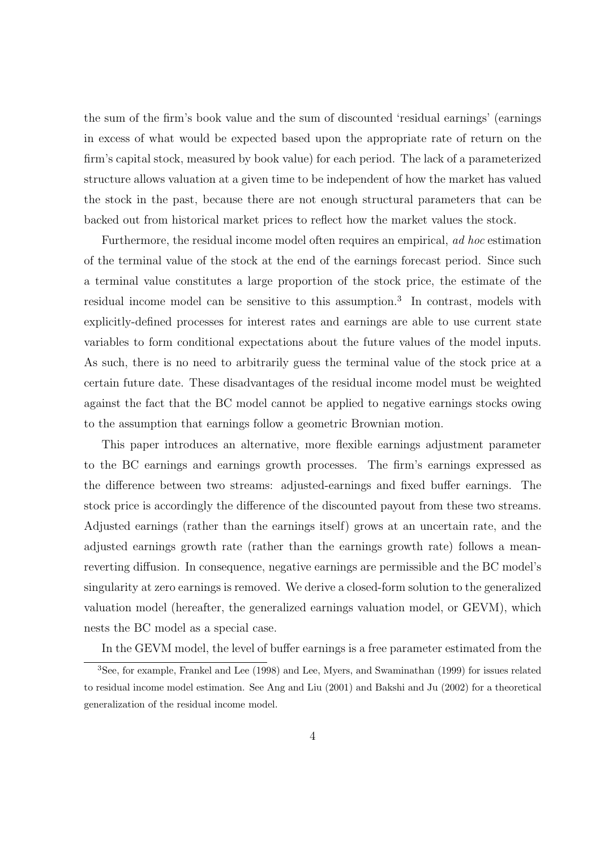the sum of the firm's book value and the sum of discounted 'residual earnings' (earnings in excess of what would be expected based upon the appropriate rate of return on the firm's capital stock, measured by book value) for each period. The lack of a parameterized structure allows valuation at a given time to be independent of how the market has valued the stock in the past, because there are not enough structural parameters that can be backed out from historical market prices to reflect how the market values the stock.

Furthermore, the residual income model often requires an empirical, ad hoc estimation of the terminal value of the stock at the end of the earnings forecast period. Since such a terminal value constitutes a large proportion of the stock price, the estimate of the residual income model can be sensitive to this assumption.<sup>3</sup> In contrast, models with explicitly-defined processes for interest rates and earnings are able to use current state variables to form conditional expectations about the future values of the model inputs. As such, there is no need to arbitrarily guess the terminal value of the stock price at a certain future date. These disadvantages of the residual income model must be weighted against the fact that the BC model cannot be applied to negative earnings stocks owing to the assumption that earnings follow a geometric Brownian motion.

This paper introduces an alternative, more flexible earnings adjustment parameter to the BC earnings and earnings growth processes. The firm's earnings expressed as the difference between two streams: adjusted-earnings and fixed buffer earnings. The stock price is accordingly the difference of the discounted payout from these two streams. Adjusted earnings (rather than the earnings itself) grows at an uncertain rate, and the adjusted earnings growth rate (rather than the earnings growth rate) follows a meanreverting diffusion. In consequence, negative earnings are permissible and the BC model's singularity at zero earnings is removed. We derive a closed-form solution to the generalized valuation model (hereafter, the generalized earnings valuation model, or GEVM), which nests the BC model as a special case.

In the GEVM model, the level of buffer earnings is a free parameter estimated from the

<sup>3</sup>See, for example, Frankel and Lee (1998) and Lee, Myers, and Swaminathan (1999) for issues related to residual income model estimation. See Ang and Liu (2001) and Bakshi and Ju (2002) for a theoretical generalization of the residual income model.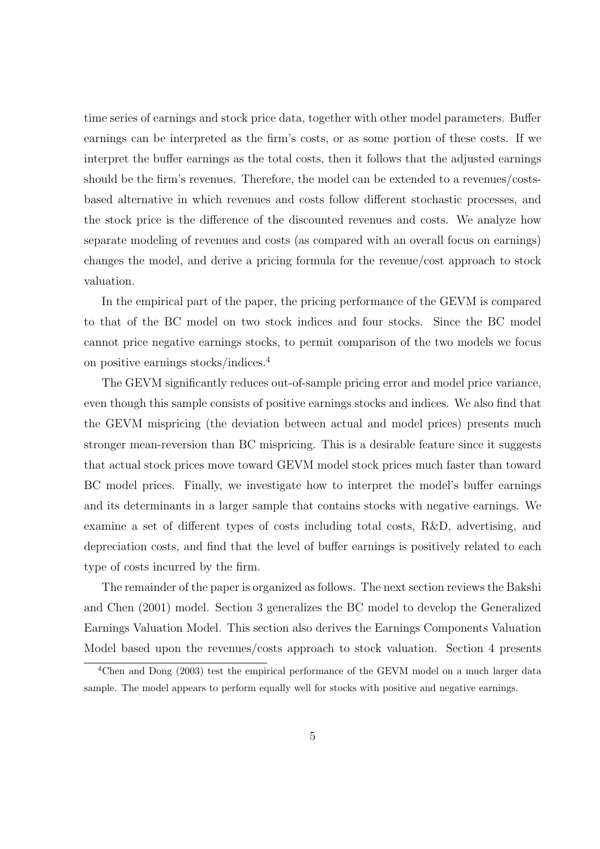time series of earnings and stock price data, together with other model parameters. Buffer earnings can be interpreted as the firm's costs, or as some portion of these costs. If we interpret the buffer earnings as the total costs, then it follows that the adjusted earnings should be the firm's revenues. Therefore, the model can be extended to a revenues/costsbased alternative in which revenues and costs follow different stochastic processes, and the stock price is the difference of the discounted revenues and costs. We analyze how separate modeling of revenues and costs (as compared with an overall focus on earnings) changes the model, and derive a pricing formula for the revenue/cost approach to stock valuation.

In the empirical part of the paper, the pricing performance of the GEVM is compared to that of the BC model on two stock indices and four stocks. Since the BC model cannot price negative earnings stocks, to permit comparison of the two models we focus on positive earnings stocks/indices.<sup>4</sup>

The GEVM significantly reduces out-of-sample pricing error and model price variance, even though this sample consists of positive earnings stocks and indices. We also find that the GEVM mispricing (the deviation between actual and model prices) presents much stronger mean-reversion than BC mispricing. This is a desirable feature since it suggests that actual stock prices move toward GEVM model stock prices much faster than toward BC model prices. Finally, we investigate how to interpret the model's buffer earnings and its determinants in a larger sample that contains stocks with negative earnings. We examine a set of different types of costs including total costs, R&D, advertising, and depreciation costs, and find that the level of buffer earnings is positively related to each type of costs incurred by the firm.

The remainder of the paper is organized as follows. The next section reviews the Bakshi and Chen (2001) model. Section 3 generalizes the BC model to develop the Generalized Earnings Valuation Model. This section also derives the Earnings Components Valuation Model based upon the revenues/costs approach to stock valuation. Section 4 presents

<sup>&</sup>lt;sup>4</sup>Chen and Dong (2003) test the empirical performance of the GEVM model on a much larger data sample. The model appears to perform equally well for stocks with positive and negative earnings.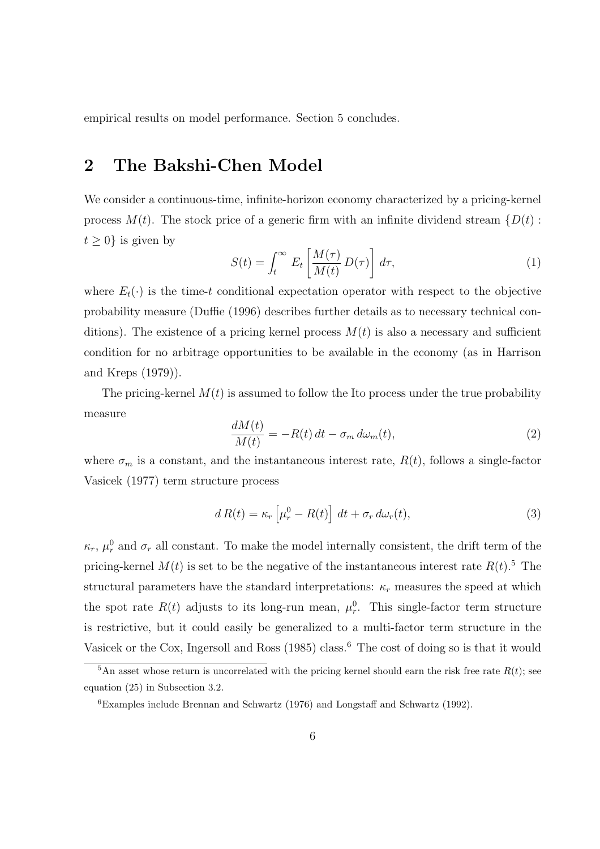empirical results on model performance. Section 5 concludes.

# 2 The Bakshi-Chen Model

We consider a continuous-time, infinite-horizon economy characterized by a pricing-kernel process  $M(t)$ . The stock price of a generic firm with an infinite dividend stream  $\{D(t)$ :  $t \geq 0$  is given by " #

$$
S(t) = \int_{t}^{\infty} E_t \left[ \frac{M(\tau)}{M(t)} D(\tau) \right] d\tau,
$$
\n(1)

where  $E_t(\cdot)$  is the time-t conditional expectation operator with respect to the objective probability measure (Duffie (1996) describes further details as to necessary technical conditions). The existence of a pricing kernel process  $M(t)$  is also a necessary and sufficient condition for no arbitrage opportunities to be available in the economy (as in Harrison and Kreps (1979)).

The pricing-kernel  $M(t)$  is assumed to follow the Ito process under the true probability measure

$$
\frac{dM(t)}{M(t)} = -R(t) dt - \sigma_m d\omega_m(t),\tag{2}
$$

where  $\sigma_m$  is a constant, and the instantaneous interest rate,  $R(t)$ , follows a single-factor Vasicek (1977) term structure process

$$
dR(t) = \kappa_r \left[ \mu_r^0 - R(t) \right] dt + \sigma_r d\omega_r(t), \qquad (3)
$$

 $\kappa_r$ ,  $\mu_r^0$  and  $\sigma_r$  all constant. To make the model internally consistent, the drift term of the pricing-kernel  $M(t)$  is set to be the negative of the instantaneous interest rate  $R(t)$ .<sup>5</sup> The structural parameters have the standard interpretations:  $\kappa_r$  measures the speed at which the spot rate  $R(t)$  adjusts to its long-run mean,  $\mu_r^0$ . This single-factor term structure is restrictive, but it could easily be generalized to a multi-factor term structure in the Vasicek or the Cox, Ingersoll and Ross (1985) class.<sup>6</sup> The cost of doing so is that it would

 $5$ An asset whose return is uncorrelated with the pricing kernel should earn the risk free rate  $R(t)$ ; see equation (25) in Subsection 3.2.

<sup>6</sup>Examples include Brennan and Schwartz (1976) and Longstaff and Schwartz (1992).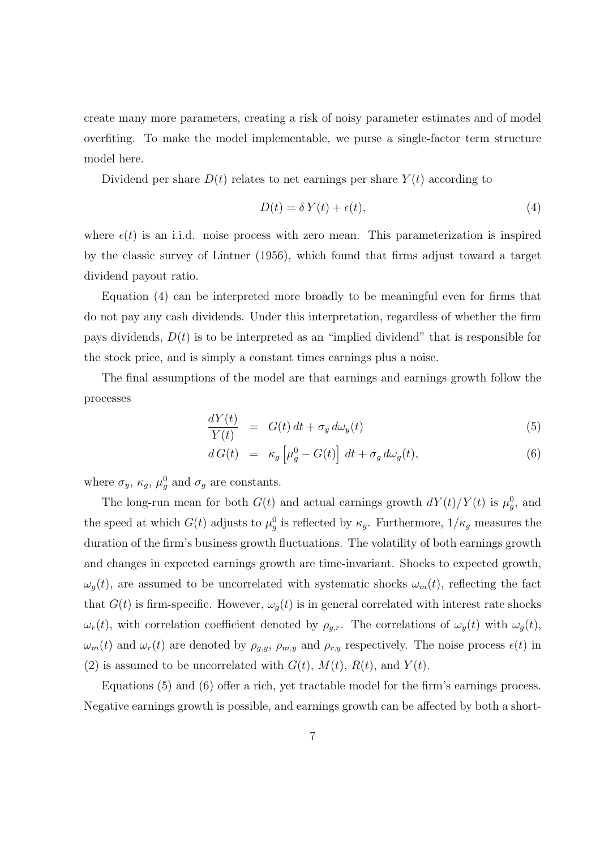create many more parameters, creating a risk of noisy parameter estimates and of model overfiting. To make the model implementable, we purse a single-factor term structure model here.

Dividend per share  $D(t)$  relates to net earnings per share  $Y(t)$  according to

$$
D(t) = \delta Y(t) + \epsilon(t),\tag{4}
$$

where  $\epsilon(t)$  is an i.i.d. noise process with zero mean. This parameterization is inspired by the classic survey of Lintner (1956), which found that firms adjust toward a target dividend payout ratio.

Equation (4) can be interpreted more broadly to be meaningful even for firms that do not pay any cash dividends. Under this interpretation, regardless of whether the firm pays dividends,  $D(t)$  is to be interpreted as an "implied dividend" that is responsible for the stock price, and is simply a constant times earnings plus a noise.

The final assumptions of the model are that earnings and earnings growth follow the processes

$$
\frac{dY(t)}{Y(t)} = G(t) dt + \sigma_y d\omega_y(t)
$$
\n(5)

$$
dG(t) = \kappa_g \left[ \mu_g^0 - G(t) \right] dt + \sigma_g d\omega_g(t), \tag{6}
$$

where  $\sigma_y$ ,  $\kappa_g$ ,  $\mu_g^0$  and  $\sigma_g$  are constants.

The long-run mean for both  $G(t)$  and actual earnings growth  $dY(t)/Y(t)$  is  $\mu_g^0$ , and the speed at which  $G(t)$  adjusts to  $\mu_g^0$  is reflected by  $\kappa_g$ . Furthermore,  $1/\kappa_g$  measures the duration of the firm's business growth fluctuations. The volatility of both earnings growth and changes in expected earnings growth are time-invariant. Shocks to expected growth,  $\omega_g(t)$ , are assumed to be uncorrelated with systematic shocks  $\omega_m(t)$ , reflecting the fact that  $G(t)$  is firm-specific. However,  $\omega_g(t)$  is in general correlated with interest rate shocks  $\omega_r(t)$ , with correlation coefficient denoted by  $\rho_{g,r}$ . The correlations of  $\omega_y(t)$  with  $\omega_g(t)$ ,  $\omega_m(t)$  and  $\omega_r(t)$  are denoted by  $\rho_{g,y}$ ,  $\rho_{m,y}$  and  $\rho_{r,y}$  respectively. The noise process  $\epsilon(t)$  in (2) is assumed to be uncorrelated with  $G(t)$ ,  $M(t)$ ,  $R(t)$ , and  $Y(t)$ .

Equations (5) and (6) offer a rich, yet tractable model for the firm's earnings process. Negative earnings growth is possible, and earnings growth can be affected by both a short-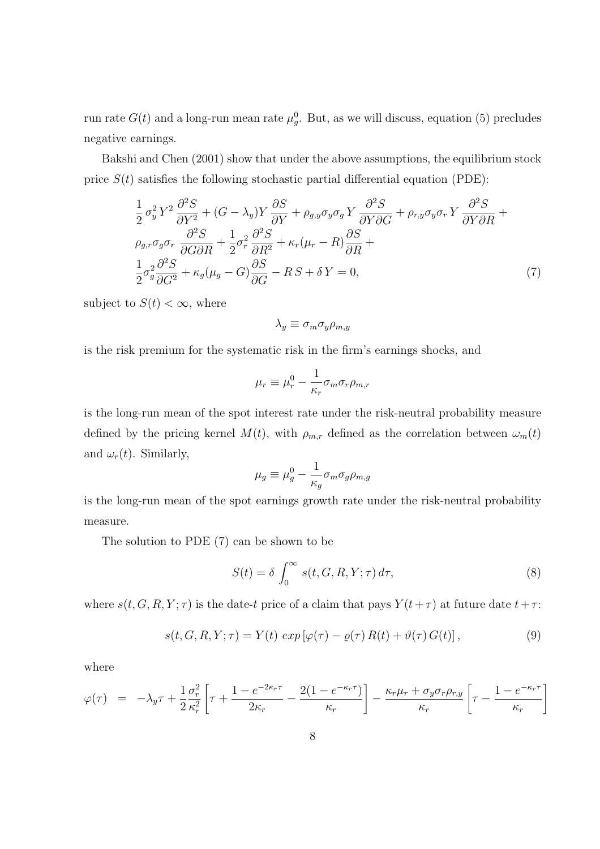run rate  $G(t)$  and a long-run mean rate  $\mu_g^0$ . But, as we will discuss, equation (5) precludes negative earnings.

Bakshi and Chen (2001) show that under the above assumptions, the equilibrium stock price  $S(t)$  satisfies the following stochastic partial differential equation (PDE):

$$
\frac{1}{2}\sigma_y^2 Y^2 \frac{\partial^2 S}{\partial Y^2} + (G - \lambda_y)Y \frac{\partial S}{\partial Y} + \rho_{g,y}\sigma_y\sigma_g Y \frac{\partial^2 S}{\partial Y \partial G} + \rho_{r,y}\sigma_y\sigma_r Y \frac{\partial^2 S}{\partial Y \partial R} + \n\rho_{g,r}\sigma_g\sigma_r \frac{\partial^2 S}{\partial G \partial R} + \frac{1}{2}\sigma_r^2 \frac{\partial^2 S}{\partial R^2} + \kappa_r(\mu_r - R)\frac{\partial S}{\partial R} + \n\frac{1}{2}\sigma_g^2 \frac{\partial^2 S}{\partial G^2} + \kappa_g(\mu_g - G)\frac{\partial S}{\partial G} - RS + \delta Y = 0,
$$
\n(7)

subject to  $S(t) < \infty$ , where

$$
\lambda_y \equiv \sigma_m \sigma_y \rho_{m,y}
$$

is the risk premium for the systematic risk in the firm's earnings shocks, and

$$
\mu_r \equiv \mu_r^0 - \frac{1}{\kappa_r} \sigma_m \sigma_r \rho_{m,r}
$$

is the long-run mean of the spot interest rate under the risk-neutral probability measure defined by the pricing kernel  $M(t)$ , with  $\rho_{m,r}$  defined as the correlation between  $\omega_m(t)$ and  $\omega_r(t)$ . Similarly,

$$
\mu_g \equiv \mu_g^0 - \frac{1}{\kappa_g} \sigma_m \sigma_g \rho_{m,g}
$$

is the long-run mean of the spot earnings growth rate under the risk-neutral probability measure.

The solution to PDE (7) can be shown to be

$$
S(t) = \delta \int_0^\infty s(t, G, R, Y; \tau) d\tau,
$$
\n(8)

where  $s(t, G, R, Y; \tau)$  is the date-t price of a claim that pays  $Y(t+\tau)$  at future date  $t+\tau$ :

$$
s(t, G, R, Y; \tau) = Y(t) \exp \left[ \varphi(\tau) - \varrho(\tau) R(t) + \vartheta(\tau) G(t) \right], \tag{9}
$$

where

$$
\varphi(\tau) = -\lambda_y \tau + \frac{1}{2} \frac{\sigma_r^2}{\kappa_r^2} \left[ \tau + \frac{1 - e^{-2\kappa_r \tau}}{2\kappa_r} - \frac{2(1 - e^{-\kappa_r \tau})}{\kappa_r} \right] - \frac{\kappa_r \mu_r + \sigma_y \sigma_r \rho_{r,y}}{\kappa_r} \left[ \tau - \frac{1 - e^{-\kappa_r \tau}}{\kappa_r} \right]
$$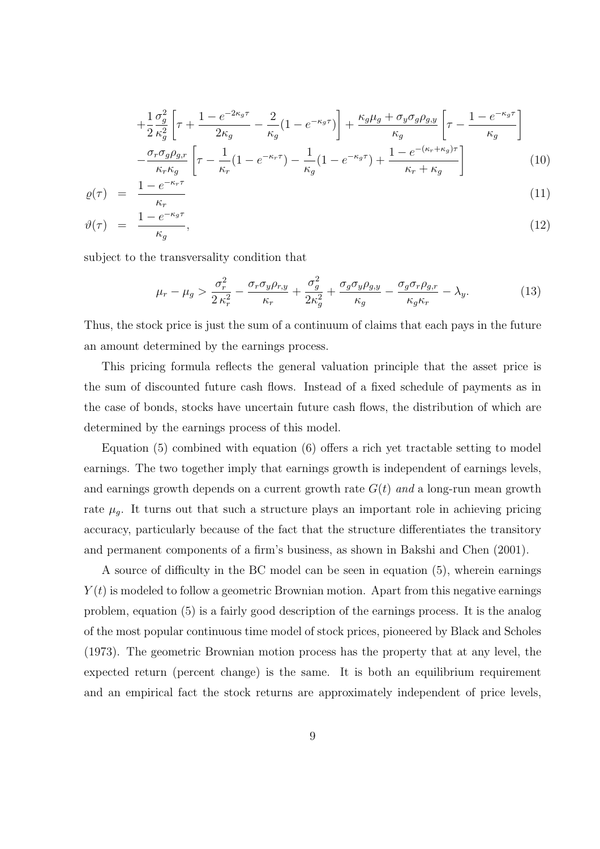$$
+\frac{1}{2}\frac{\sigma_g^2}{\kappa_g^2} \left[ \tau + \frac{1 - e^{-2\kappa_g \tau}}{2\kappa_g} - \frac{2}{\kappa_g} (1 - e^{-\kappa_g \tau}) \right] + \frac{\kappa_g \mu_g + \sigma_y \sigma_g \rho_{g,y}}{\kappa_g} \left[ \tau - \frac{1 - e^{-\kappa_g \tau}}{\kappa_g} \right]
$$

$$
-\frac{\sigma_r \sigma_g \rho_{g,r}}{\kappa_r \kappa_g} \left[ \tau - \frac{1}{\kappa_r} (1 - e^{-\kappa_r \tau}) - \frac{1}{\kappa_g} (1 - e^{-\kappa_g \tau}) + \frac{1 - e^{-(\kappa_r + \kappa_g)\tau}}{\kappa_r + \kappa_g} \right]
$$
(10)

$$
\varrho(\tau) = \frac{1 - e^{-\kappa_r \tau}}{\kappa_r} \tag{11}
$$

$$
\vartheta(\tau) = \frac{1 - e^{-\kappa_g \tau}}{\kappa_g},\tag{12}
$$

subject to the transversality condition that

$$
\mu_r - \mu_g > \frac{\sigma_r^2}{2\kappa_r^2} - \frac{\sigma_r \sigma_y \rho_{r,y}}{\kappa_r} + \frac{\sigma_g^2}{2\kappa_g^2} + \frac{\sigma_g \sigma_y \rho_{g,y}}{\kappa_g} - \frac{\sigma_g \sigma_r \rho_{g,r}}{\kappa_g \kappa_r} - \lambda_y.
$$
 (13)

Thus, the stock price is just the sum of a continuum of claims that each pays in the future an amount determined by the earnings process.

This pricing formula reflects the general valuation principle that the asset price is the sum of discounted future cash flows. Instead of a fixed schedule of payments as in the case of bonds, stocks have uncertain future cash flows, the distribution of which are determined by the earnings process of this model.

Equation (5) combined with equation (6) offers a rich yet tractable setting to model earnings. The two together imply that earnings growth is independent of earnings levels, and earnings growth depends on a current growth rate  $G(t)$  and a long-run mean growth rate  $\mu_q$ . It turns out that such a structure plays an important role in achieving pricing accuracy, particularly because of the fact that the structure differentiates the transitory and permanent components of a firm's business, as shown in Bakshi and Chen (2001).

A source of difficulty in the BC model can be seen in equation (5), wherein earnings  $Y(t)$  is modeled to follow a geometric Brownian motion. Apart from this negative earnings problem, equation (5) is a fairly good description of the earnings process. It is the analog of the most popular continuous time model of stock prices, pioneered by Black and Scholes (1973). The geometric Brownian motion process has the property that at any level, the expected return (percent change) is the same. It is both an equilibrium requirement and an empirical fact the stock returns are approximately independent of price levels,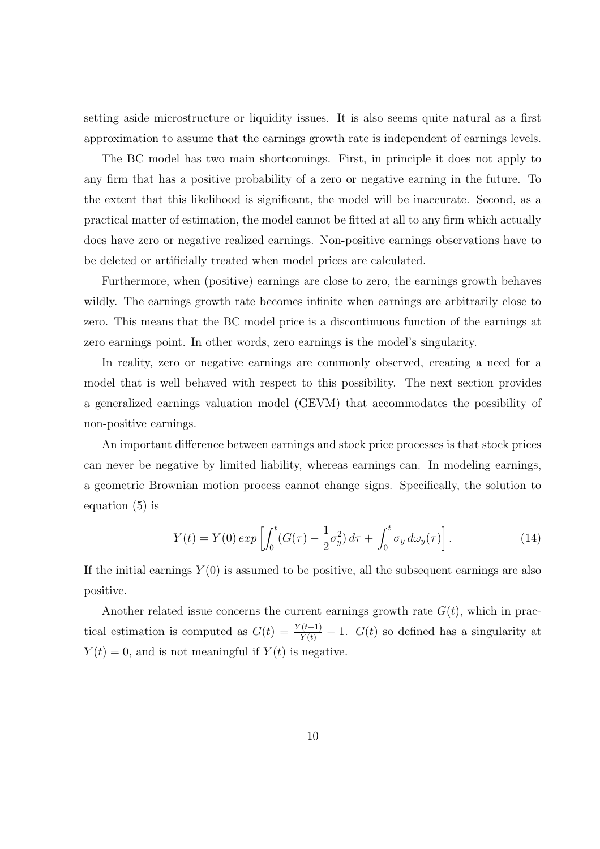setting aside microstructure or liquidity issues. It is also seems quite natural as a first approximation to assume that the earnings growth rate is independent of earnings levels.

The BC model has two main shortcomings. First, in principle it does not apply to any firm that has a positive probability of a zero or negative earning in the future. To the extent that this likelihood is significant, the model will be inaccurate. Second, as a practical matter of estimation, the model cannot be fitted at all to any firm which actually does have zero or negative realized earnings. Non-positive earnings observations have to be deleted or artificially treated when model prices are calculated.

Furthermore, when (positive) earnings are close to zero, the earnings growth behaves wildly. The earnings growth rate becomes infinite when earnings are arbitrarily close to zero. This means that the BC model price is a discontinuous function of the earnings at zero earnings point. In other words, zero earnings is the model's singularity.

In reality, zero or negative earnings are commonly observed, creating a need for a model that is well behaved with respect to this possibility. The next section provides a generalized earnings valuation model (GEVM) that accommodates the possibility of non-positive earnings.

An important difference between earnings and stock price processes is that stock prices can never be negative by limited liability, whereas earnings can. In modeling earnings, a geometric Brownian motion process cannot change signs. Specifically, the solution to equation (5) is

$$
Y(t) = Y(0) \exp \left[ \int_0^t (G(\tau) - \frac{1}{2} \sigma_y^2) d\tau + \int_0^t \sigma_y d\omega_y(\tau) \right].
$$
 (14)

If the initial earnings  $Y(0)$  is assumed to be positive, all the subsequent earnings are also positive.

Another related issue concerns the current earnings growth rate  $G(t)$ , which in practical estimation is computed as  $G(t) = \frac{Y(t+1)}{Y(t)} - 1$ .  $G(t)$  so defined has a singularity at  $Y(t) = 0$ , and is not meaningful if  $Y(t)$  is negative.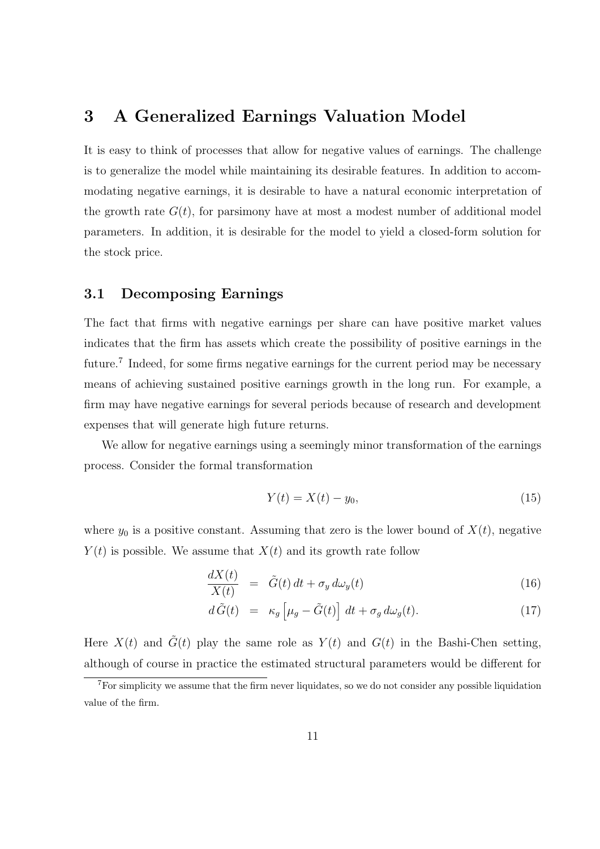# 3 A Generalized Earnings Valuation Model

It is easy to think of processes that allow for negative values of earnings. The challenge is to generalize the model while maintaining its desirable features. In addition to accommodating negative earnings, it is desirable to have a natural economic interpretation of the growth rate  $G(t)$ , for parsimony have at most a modest number of additional model parameters. In addition, it is desirable for the model to yield a closed-form solution for the stock price.

### 3.1 Decomposing Earnings

The fact that firms with negative earnings per share can have positive market values indicates that the firm has assets which create the possibility of positive earnings in the future.<sup>7</sup> Indeed, for some firms negative earnings for the current period may be necessary means of achieving sustained positive earnings growth in the long run. For example, a firm may have negative earnings for several periods because of research and development expenses that will generate high future returns.

We allow for negative earnings using a seemingly minor transformation of the earnings process. Consider the formal transformation

$$
Y(t) = X(t) - y_0,\t\t(15)
$$

where  $y_0$  is a positive constant. Assuming that zero is the lower bound of  $X(t)$ , negative  $Y(t)$  is possible. We assume that  $X(t)$  and its growth rate follow

$$
\frac{dX(t)}{X(t)} = \tilde{G}(t) dt + \sigma_y d\omega_y(t)
$$
\n(16)

$$
d\tilde{G}(t) = \kappa_g \left[ \mu_g - \tilde{G}(t) \right] dt + \sigma_g d\omega_g(t). \tag{17}
$$

Here  $X(t)$  and  $\tilde{G}(t)$  play the same role as  $Y(t)$  and  $G(t)$  in the Bashi-Chen setting, although of course in practice the estimated structural parameters would be different for

 $7\overline{\text{For simplicity we assume that the firm never liquidates, so we do not consider any possible liquidation.}$ value of the firm.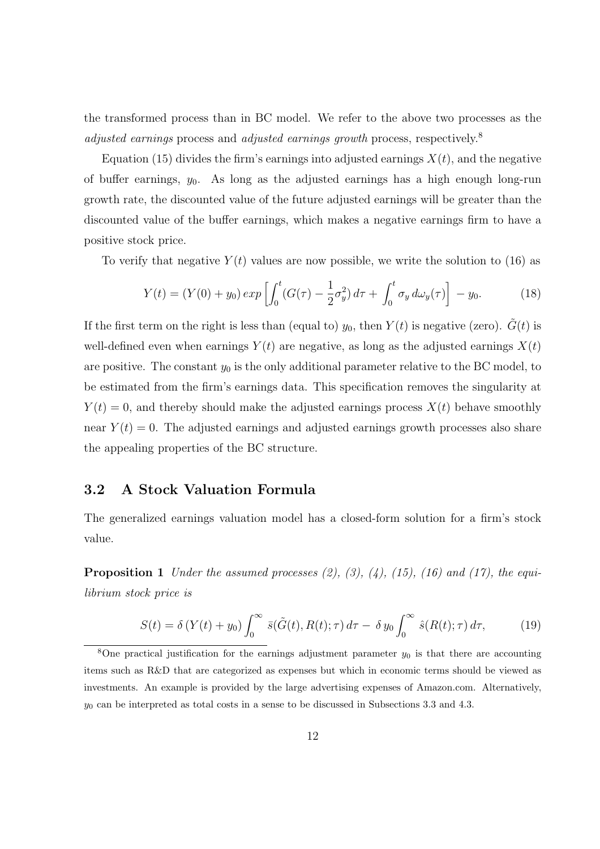the transformed process than in BC model. We refer to the above two processes as the adjusted earnings process and adjusted earnings growth process, respectively.<sup>8</sup>

Equation (15) divides the firm's earnings into adjusted earnings  $X(t)$ , and the negative of buffer earnings,  $y_0$ . As long as the adjusted earnings has a high enough long-run growth rate, the discounted value of the future adjusted earnings will be greater than the discounted value of the buffer earnings, which makes a negative earnings firm to have a positive stock price.

To verify that negative  $Y(t)$  values are now possible, we write the solution to (16) as

$$
Y(t) = (Y(0) + y_0) \exp\left[\int_0^t (G(\tau) - \frac{1}{2}\sigma_y^2) d\tau + \int_0^t \sigma_y d\omega_y(\tau)\right] - y_0.
$$
 (18)

If the first term on the right is less than (equal to)  $y_0$ , then  $Y(t)$  is negative (zero).  $\tilde{G}(t)$  is well-defined even when earnings  $Y(t)$  are negative, as long as the adjusted earnings  $X(t)$ are positive. The constant  $y_0$  is the only additional parameter relative to the BC model, to be estimated from the firm's earnings data. This specification removes the singularity at  $Y(t) = 0$ , and thereby should make the adjusted earnings process  $X(t)$  behave smoothly near  $Y(t) = 0$ . The adjusted earnings and adjusted earnings growth processes also share the appealing properties of the BC structure.

### 3.2 A Stock Valuation Formula

The generalized earnings valuation model has a closed-form solution for a firm's stock value.

**Proposition 1** Under the assumed processes  $(2)$ ,  $(3)$ ,  $(4)$ ,  $(15)$ ,  $(16)$  and  $(17)$ , the equilibrium stock price is

$$
S(t) = \delta(Y(t) + y_0) \int_0^\infty \bar{s}(\tilde{G}(t), R(t); \tau) d\tau - \delta y_0 \int_0^\infty \hat{s}(R(t); \tau) d\tau, \tag{19}
$$

<sup>&</sup>lt;sup>8</sup>One practical justification for the earnings adjustment parameter  $y_0$  is that there are accounting items such as R&D that are categorized as expenses but which in economic terms should be viewed as investments. An example is provided by the large advertising expenses of Amazon.com. Alternatively,  $y_0$  can be interpreted as total costs in a sense to be discussed in Subsections 3.3 and 4.3.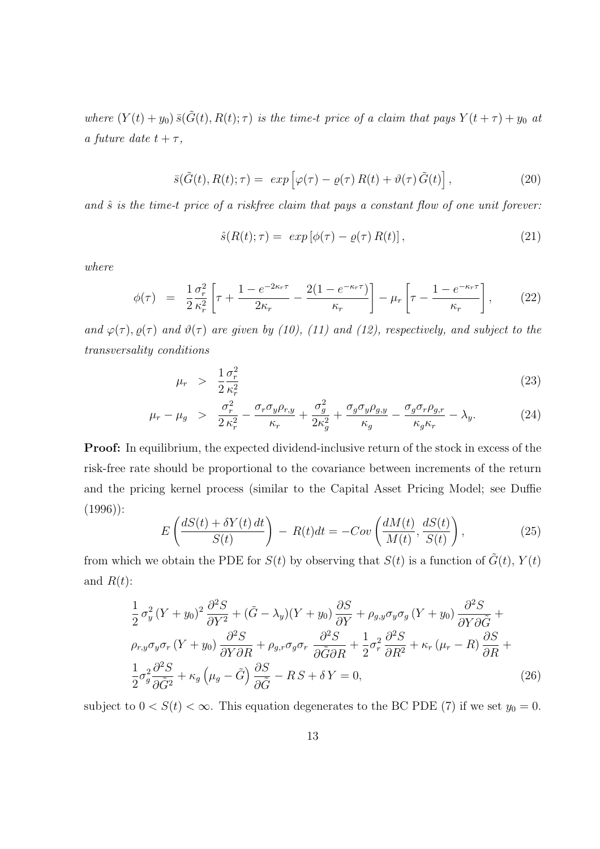where  $(Y(t) + y_0) \bar{s}(\tilde{G}(t), R(t); \tau)$  is the time-t price of a claim that pays  $Y(t + \tau) + y_0$  at a future date  $t + \tau$ ,

$$
\bar{s}(\tilde{G}(t), R(t); \tau) = exp \left[ \varphi(\tau) - \varrho(\tau) R(t) + \vartheta(\tau) \tilde{G}(t) \right],
$$
\n(20)

and  $\hat{s}$  is the time-t price of a riskfree claim that pays a constant flow of one unit forever:

$$
\hat{s}(R(t);\tau) = exp[\phi(\tau) - \varrho(\tau) R(t)], \qquad (21)
$$

where

$$
\phi(\tau) = \frac{1}{2} \frac{\sigma_r^2}{\kappa_r^2} \left[ \tau + \frac{1 - e^{-2\kappa_r \tau}}{2\kappa_r} - \frac{2(1 - e^{-\kappa_r \tau})}{\kappa_r} \right] - \mu_r \left[ \tau - \frac{1 - e^{-\kappa_r \tau}}{\kappa_r} \right],\tag{22}
$$

and  $\varphi(\tau)$ ,  $\varrho(\tau)$  and  $\vartheta(\tau)$  are given by (10), (11) and (12), respectively, and subject to the transversality conditions

$$
\mu_r \quad > \quad \frac{1}{2} \frac{\sigma_r^2}{\kappa_r^2} \tag{23}
$$

$$
\mu_r - \mu_g > \frac{\sigma_r^2}{2\kappa_r^2} - \frac{\sigma_r \sigma_y \rho_{r,y}}{\kappa_r} + \frac{\sigma_g^2}{2\kappa_g^2} + \frac{\sigma_g \sigma_y \rho_{g,y}}{\kappa_g} - \frac{\sigma_g \sigma_r \rho_{g,r}}{\kappa_g \kappa_r} - \lambda_y. \tag{24}
$$

Proof: In equilibrium, the expected dividend-inclusive return of the stock in excess of the risk-free rate should be proportional to the covariance between increments of the return and the pricing kernel process (similar to the Capital Asset Pricing Model; see Duffie (1996)):  $\overline{\phantom{a}}$ !<br>} !<br>!

$$
E\left(\frac{dS(t) + \delta Y(t) dt}{S(t)}\right) - R(t)dt = -Cov\left(\frac{dM(t)}{M(t)}, \frac{dS(t)}{S(t)}\right),\tag{25}
$$

from which we obtain the PDE for  $S(t)$  by observing that  $S(t)$  is a function of  $G(t)$ ,  $Y(t)$ and  $R(t)$ :

$$
\frac{1}{2}\sigma_y^2 (Y + y_0)^2 \frac{\partial^2 S}{\partial Y^2} + (\tilde{G} - \lambda_y)(Y + y_0) \frac{\partial S}{\partial Y} + \rho_{g,y}\sigma_y\sigma_g (Y + y_0) \frac{\partial^2 S}{\partial Y \partial \tilde{G}} +
$$
\n
$$
\rho_{r,y}\sigma_y\sigma_r (Y + y_0) \frac{\partial^2 S}{\partial Y \partial R} + \rho_{g,r}\sigma_g\sigma_r \frac{\partial^2 S}{\partial \tilde{G} \partial R} + \frac{1}{2}\sigma_r^2 \frac{\partial^2 S}{\partial R^2} + \kappa_r (\mu_r - R) \frac{\partial S}{\partial R} +
$$
\n
$$
\frac{1}{2}\sigma_g^2 \frac{\partial^2 S}{\partial \tilde{G}^2} + \kappa_g (\mu_g - \tilde{G}) \frac{\partial S}{\partial \tilde{G}} - RS + \delta Y = 0,
$$
\n(26)

subject to  $0 < S(t) < \infty$ . This equation degenerates to the BC PDE (7) if we set  $y_0 = 0$ .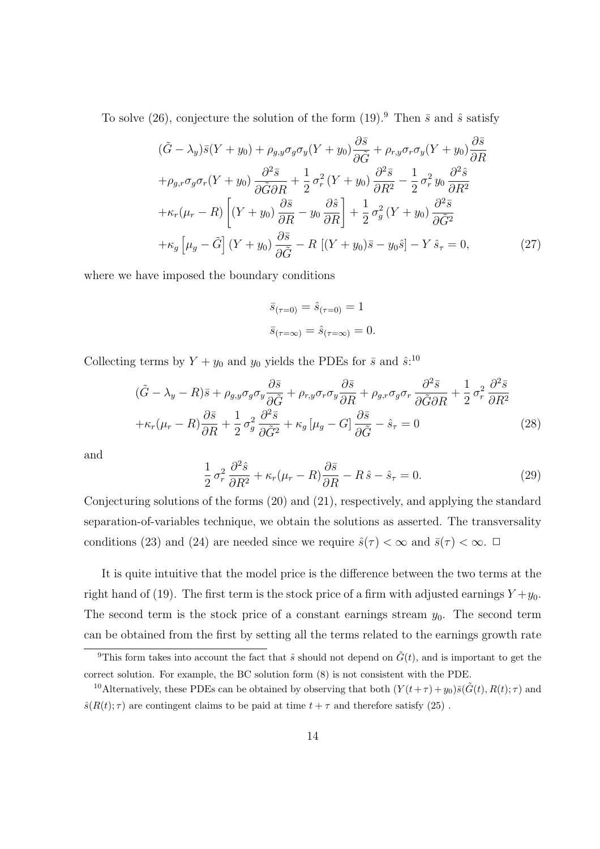To solve (26), conjecture the solution of the form (19). <sup>9</sup> Then  $\bar{s}$  and  $\hat{s}$  satisfy

$$
(\tilde{G} - \lambda_y)\bar{s}(Y + y_0) + \rho_{g,y}\sigma_g\sigma_y(Y + y_0)\frac{\partial \bar{s}}{\partial \tilde{G}} + \rho_{r,y}\sigma_r\sigma_y(Y + y_0)\frac{\partial \bar{s}}{\partial R}
$$
  
+
$$
\rho_{g,r}\sigma_g\sigma_r(Y + y_0)\frac{\partial^2 \bar{s}}{\partial \tilde{G}\partial R} + \frac{1}{2}\sigma_r^2(Y + y_0)\frac{\partial^2 \bar{s}}{\partial R^2} - \frac{1}{2}\sigma_r^2y_0\frac{\partial^2 \hat{s}}{\partial R^2}
$$
  
+
$$
\kappa_r(\mu_r - R)\left[(Y + y_0)\frac{\partial \bar{s}}{\partial R} - y_0\frac{\partial \hat{s}}{\partial R}\right] + \frac{1}{2}\sigma_g^2(Y + y_0)\frac{\partial^2 \bar{s}}{\partial \tilde{G}^2}
$$
  
+
$$
\kappa_g\left[\mu_g - \tilde{G}\right](Y + y_0)\frac{\partial \bar{s}}{\partial \tilde{G}} - R\left[(Y + y_0)\bar{s} - y_0\hat{s}\right] - Y\hat{s}_r = 0,
$$
(27)

where we have imposed the boundary conditions

$$
\overline{s}_{(\tau=0)} = \hat{s}_{(\tau=0)} = 1
$$
  

$$
\overline{s}_{(\tau=\infty)} = \hat{s}_{(\tau=\infty)} = 0.
$$

Collecting terms by  $Y + y_0$  and  $y_0$  yields the PDEs for  $\bar{s}$  and  $\hat{s}$ <sup>10</sup>

$$
(\tilde{G} - \lambda_y - R)\bar{s} + \rho_{g,y}\sigma_g\sigma_y\frac{\partial \bar{s}}{\partial \tilde{G}} + \rho_{r,y}\sigma_r\sigma_y\frac{\partial \bar{s}}{\partial R} + \rho_{g,r}\sigma_g\sigma_r\frac{\partial^2 \bar{s}}{\partial \tilde{G}\partial R} + \frac{1}{2}\sigma_r^2\frac{\partial^2 \bar{s}}{\partial R^2} + \kappa_r(\mu_r - R)\frac{\partial \bar{s}}{\partial R} + \frac{1}{2}\sigma_g^2\frac{\partial^2 \bar{s}}{\partial \tilde{G}^2} + \kappa_g[\mu_g - G]\frac{\partial \bar{s}}{\partial \tilde{G}} - \hat{s}_\tau = 0
$$
\n(28)

and

$$
\frac{1}{2}\sigma_r^2 \frac{\partial^2 \hat{s}}{\partial R^2} + \kappa_r (\mu_r - R) \frac{\partial \bar{s}}{\partial R} - R \,\hat{s} - \hat{s}_\tau = 0. \tag{29}
$$

Conjecturing solutions of the forms (20) and (21), respectively, and applying the standard separation-of-variables technique, we obtain the solutions as asserted. The transversality conditions (23) and (24) are needed since we require  $\hat{s}(\tau) < \infty$  and  $\bar{s}(\tau) < \infty$ .  $\Box$ 

It is quite intuitive that the model price is the difference between the two terms at the right hand of (19). The first term is the stock price of a firm with adjusted earnings  $Y + y_0$ . The second term is the stock price of a constant earnings stream  $y_0$ . The second term can be obtained from the first by setting all the terms related to the earnings growth rate

<sup>&</sup>lt;sup>9</sup>This form takes into account the fact that  $\hat{s}$  should not depend on  $\tilde{G}(t)$ , and is important to get the correct solution. For example, the BC solution form (8) is not consistent with the PDE.

<sup>&</sup>lt;sup>10</sup>Alternatively, these PDEs can be obtained by observing that both  $(Y(t+\tau)+y_0)\bar{s}(G(t), R(t);\tau)$  and  $\hat{s}(R(t);\tau)$  are contingent claims to be paid at time  $t + \tau$  and therefore satisfy (25).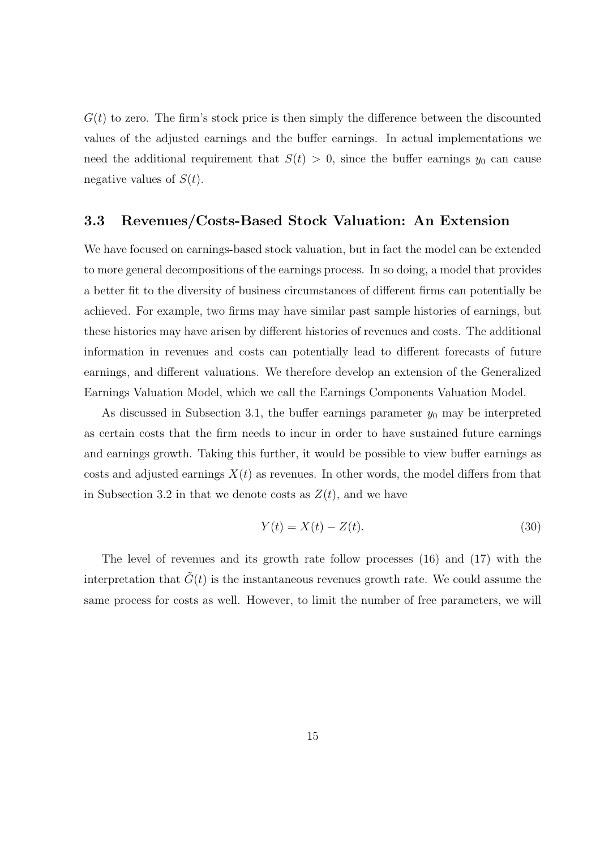$G(t)$  to zero. The firm's stock price is then simply the difference between the discounted values of the adjusted earnings and the buffer earnings. In actual implementations we need the additional requirement that  $S(t) > 0$ , since the buffer earnings  $y_0$  can cause negative values of  $S(t)$ .

#### 3.3 Revenues/Costs-Based Stock Valuation: An Extension

We have focused on earnings-based stock valuation, but in fact the model can be extended to more general decompositions of the earnings process. In so doing, a model that provides a better fit to the diversity of business circumstances of different firms can potentially be achieved. For example, two firms may have similar past sample histories of earnings, but these histories may have arisen by different histories of revenues and costs. The additional information in revenues and costs can potentially lead to different forecasts of future earnings, and different valuations. We therefore develop an extension of the Generalized Earnings Valuation Model, which we call the Earnings Components Valuation Model.

As discussed in Subsection 3.1, the buffer earnings parameter  $y_0$  may be interpreted as certain costs that the firm needs to incur in order to have sustained future earnings and earnings growth. Taking this further, it would be possible to view buffer earnings as costs and adjusted earnings  $X(t)$  as revenues. In other words, the model differs from that in Subsection 3.2 in that we denote costs as  $Z(t)$ , and we have

$$
Y(t) = X(t) - Z(t). \tag{30}
$$

The level of revenues and its growth rate follow processes (16) and (17) with the interpretation that  $\tilde{G}(t)$  is the instantaneous revenues growth rate. We could assume the same process for costs as well. However, to limit the number of free parameters, we will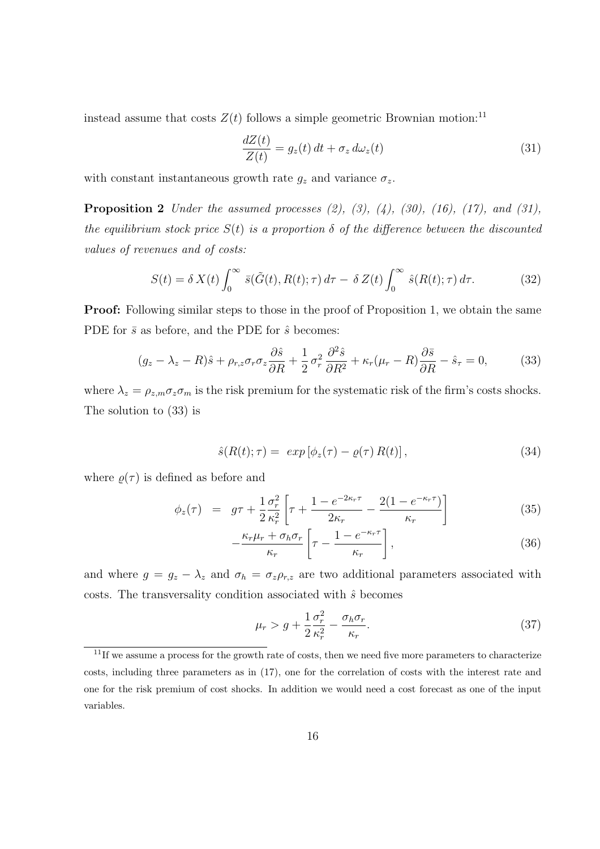instead assume that costs  $Z(t)$  follows a simple geometric Brownian motion:<sup>11</sup>

$$
\frac{dZ(t)}{Z(t)} = g_z(t) dt + \sigma_z d\omega_z(t)
$$
\n(31)

with constant instantaneous growth rate  $g_z$  and variance  $\sigma_z$ .

**Proposition 2** Under the assumed processes  $(2)$ ,  $(3)$ ,  $(4)$ ,  $(30)$ ,  $(16)$ ,  $(17)$ , and  $(31)$ , the equilibrium stock price  $S(t)$  is a proportion  $\delta$  of the difference between the discounted values of revenues and of costs:

$$
S(t) = \delta X(t) \int_0^\infty \bar{s}(\tilde{G}(t), R(t); \tau) d\tau - \delta Z(t) \int_0^\infty \hat{s}(R(t); \tau) d\tau.
$$
 (32)

**Proof:** Following similar steps to those in the proof of Proposition 1, we obtain the same PDE for  $\bar{s}$  as before, and the PDE for  $\hat{s}$  becomes:

$$
(g_z - \lambda_z - R)\hat{s} + \rho_{r,z}\sigma_r\sigma_z \frac{\partial \hat{s}}{\partial R} + \frac{1}{2}\sigma_r^2 \frac{\partial^2 \hat{s}}{\partial R^2} + \kappa_r(\mu_r - R)\frac{\partial \bar{s}}{\partial R} - \hat{s}_\tau = 0, \tag{33}
$$

where  $\lambda_z = \rho_{z,m} \sigma_z \sigma_m$  is the risk premium for the systematic risk of the firm's costs shocks. The solution to (33) is

$$
\hat{s}(R(t);\tau) = exp\left[\phi_z(\tau) - \varrho(\tau) R(t)\right],\tag{34}
$$

where  $\rho(\tau)$  is defined as before and

$$
\phi_z(\tau) = g\tau + \frac{1}{2} \frac{\sigma_r^2}{\kappa_r^2} \left[ \tau + \frac{1 - e^{-2\kappa_r \tau}}{2\kappa_r} - \frac{2(1 - e^{-\kappa_r \tau})}{\kappa_r} \right]
$$
(35)

$$
-\frac{\kappa_r \mu_r + \sigma_h \sigma_r}{\kappa_r} \left[ \tau - \frac{1 - e^{-\kappa_r \tau}}{\kappa_r} \right],\tag{36}
$$

and where  $g = g_z - \lambda_z$  and  $\sigma_h = \sigma_z \rho_{r,z}$  are two additional parameters associated with costs. The transversality condition associated with  $\hat{s}$  becomes

$$
\mu_r > g + \frac{1}{2} \frac{\sigma_r^2}{\kappa_r^2} - \frac{\sigma_h \sigma_r}{\kappa_r}.
$$
\n(37)

 $11$ If we assume a process for the growth rate of costs, then we need five more parameters to characterize costs, including three parameters as in (17), one for the correlation of costs with the interest rate and one for the risk premium of cost shocks. In addition we would need a cost forecast as one of the input variables.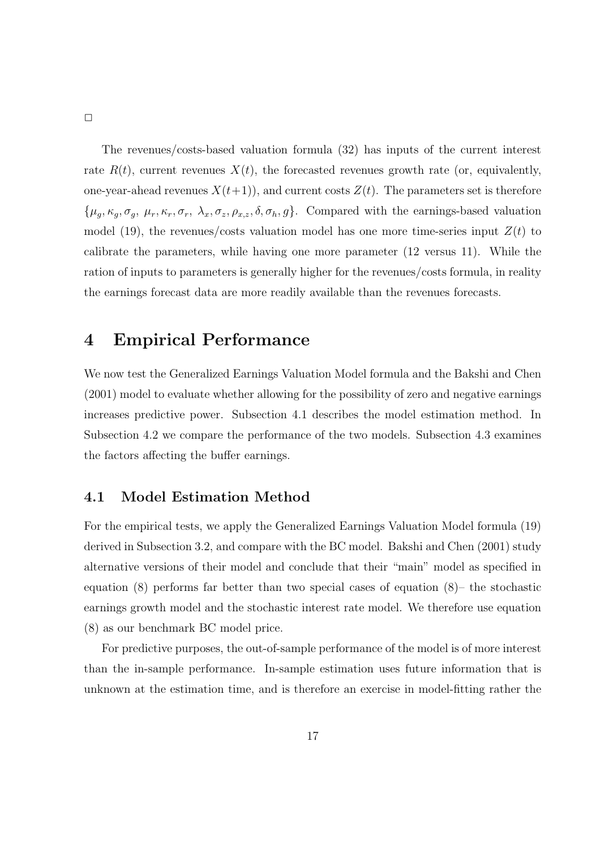The revenues/costs-based valuation formula (32) has inputs of the current interest rate  $R(t)$ , current revenues  $X(t)$ , the forecasted revenues growth rate (or, equivalently, one-year-ahead revenues  $X(t+1)$ , and current costs  $Z(t)$ . The parameters set is therefore  $\{\mu_g, \kappa_g, \sigma_g, \mu_r, \kappa_r, \sigma_r, \lambda_x, \sigma_z, \rho_{x,z}, \delta, \sigma_h, g\}.$  Compared with the earnings-based valuation model (19), the revenues/costs valuation model has one more time-series input  $Z(t)$  to calibrate the parameters, while having one more parameter (12 versus 11). While the ration of inputs to parameters is generally higher for the revenues/costs formula, in reality the earnings forecast data are more readily available than the revenues forecasts.

# 4 Empirical Performance

We now test the Generalized Earnings Valuation Model formula and the Bakshi and Chen (2001) model to evaluate whether allowing for the possibility of zero and negative earnings increases predictive power. Subsection 4.1 describes the model estimation method. In Subsection 4.2 we compare the performance of the two models. Subsection 4.3 examines the factors affecting the buffer earnings.

#### 4.1 Model Estimation Method

For the empirical tests, we apply the Generalized Earnings Valuation Model formula (19) derived in Subsection 3.2, and compare with the BC model. Bakshi and Chen (2001) study alternative versions of their model and conclude that their "main" model as specified in equation (8) performs far better than two special cases of equation (8)– the stochastic earnings growth model and the stochastic interest rate model. We therefore use equation (8) as our benchmark BC model price.

For predictive purposes, the out-of-sample performance of the model is of more interest than the in-sample performance. In-sample estimation uses future information that is unknown at the estimation time, and is therefore an exercise in model-fitting rather the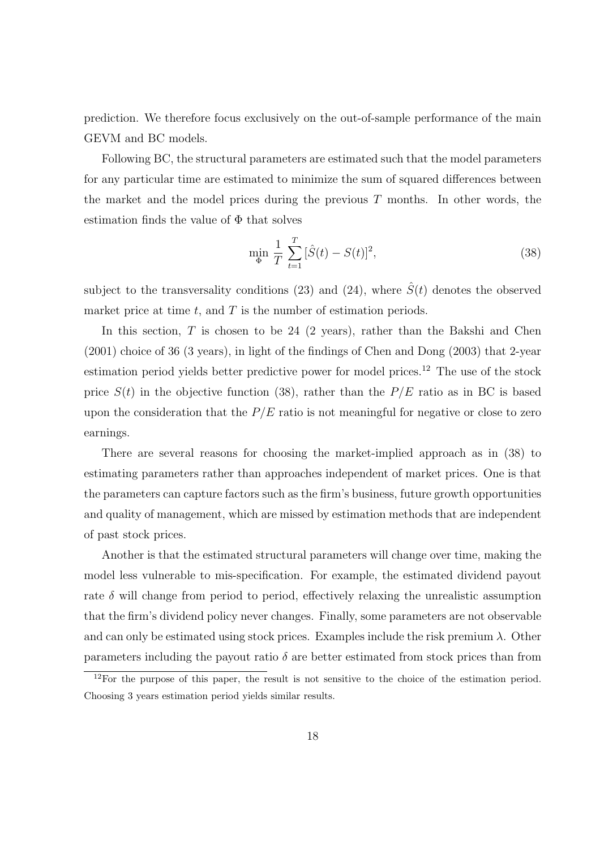prediction. We therefore focus exclusively on the out-of-sample performance of the main GEVM and BC models.

Following BC, the structural parameters are estimated such that the model parameters for any particular time are estimated to minimize the sum of squared differences between the market and the model prices during the previous  $T$  months. In other words, the estimation finds the value of  $\Phi$  that solves

$$
\min_{\Phi} \frac{1}{T} \sum_{t=1}^{T} [\hat{S}(t) - S(t)]^2,\tag{38}
$$

subject to the transversality conditions (23) and (24), where  $\hat{S}(t)$  denotes the observed market price at time  $t$ , and  $T$  is the number of estimation periods.

In this section,  $T$  is chosen to be 24 (2 years), rather than the Bakshi and Chen (2001) choice of 36 (3 years), in light of the findings of Chen and Dong (2003) that 2-year estimation period yields better predictive power for model prices.<sup>12</sup> The use of the stock price  $S(t)$  in the objective function (38), rather than the  $P/E$  ratio as in BC is based upon the consideration that the  $P/E$  ratio is not meaningful for negative or close to zero earnings.

There are several reasons for choosing the market-implied approach as in (38) to estimating parameters rather than approaches independent of market prices. One is that the parameters can capture factors such as the firm's business, future growth opportunities and quality of management, which are missed by estimation methods that are independent of past stock prices.

Another is that the estimated structural parameters will change over time, making the model less vulnerable to mis-specification. For example, the estimated dividend payout rate  $\delta$  will change from period to period, effectively relaxing the unrealistic assumption that the firm's dividend policy never changes. Finally, some parameters are not observable and can only be estimated using stock prices. Examples include the risk premium  $\lambda$ . Other parameters including the payout ratio  $\delta$  are better estimated from stock prices than from

 $12$ For the purpose of this paper, the result is not sensitive to the choice of the estimation period. Choosing 3 years estimation period yields similar results.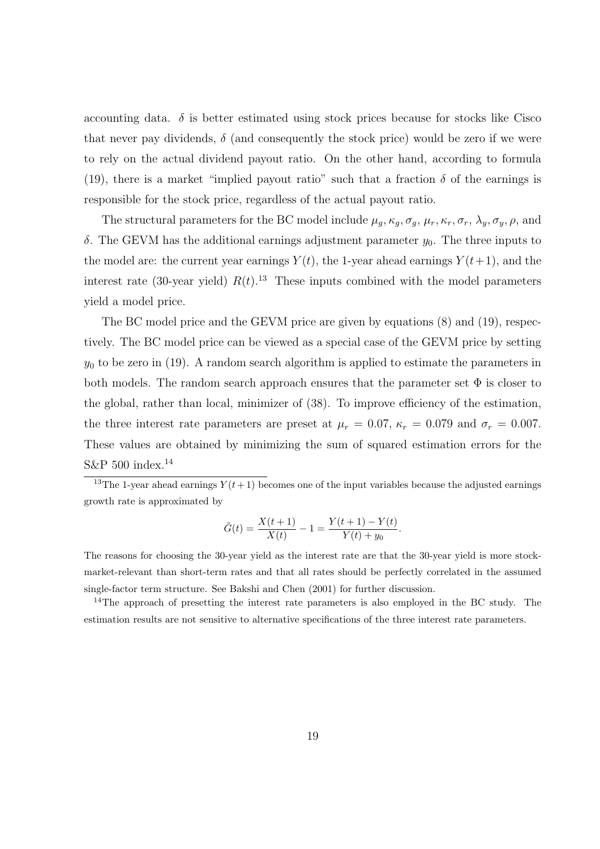accounting data.  $\delta$  is better estimated using stock prices because for stocks like Cisco that never pay dividends,  $\delta$  (and consequently the stock price) would be zero if we were to rely on the actual dividend payout ratio. On the other hand, according to formula (19), there is a market "implied payout ratio" such that a fraction  $\delta$  of the earnings is responsible for the stock price, regardless of the actual payout ratio.

The structural parameters for the BC model include  $\mu_g$ ,  $\kappa_g$ ,  $\sigma_g$ ,  $\mu_r$ ,  $\kappa_r$ ,  $\sigma_r$ ,  $\lambda_y$ ,  $\sigma_y$ ,  $\rho$ , and δ. The GEVM has the additional earnings adjustment parameter  $y_0$ . The three inputs to the model are: the current year earnings  $Y(t)$ , the 1-year ahead earnings  $Y(t+1)$ , and the interest rate (30-year yield)  $R(t)$ .<sup>13</sup> These inputs combined with the model parameters yield a model price.

The BC model price and the GEVM price are given by equations (8) and (19), respectively. The BC model price can be viewed as a special case of the GEVM price by setting  $y_0$  to be zero in (19). A random search algorithm is applied to estimate the parameters in both models. The random search approach ensures that the parameter set  $\Phi$  is closer to the global, rather than local, minimizer of (38). To improve efficiency of the estimation, the three interest rate parameters are preset at  $\mu_r = 0.07$ ,  $\kappa_r = 0.079$  and  $\sigma_r = 0.007$ . These values are obtained by minimizing the sum of squared estimation errors for the S&P 500 index.<sup>14</sup>

$$
\tilde{G}(t) = \frac{X(t+1)}{X(t)} - 1 = \frac{Y(t+1) - Y(t)}{Y(t) + y_0}.
$$

The reasons for choosing the 30-year yield as the interest rate are that the 30-year yield is more stockmarket-relevant than short-term rates and that all rates should be perfectly correlated in the assumed single-factor term structure. See Bakshi and Chen (2001) for further discussion.

 $14$ The approach of presetting the interest rate parameters is also employed in the BC study. The estimation results are not sensitive to alternative specifications of the three interest rate parameters.

<sup>&</sup>lt;sup>13</sup>The 1-year ahead earnings  $Y(t+1)$  becomes one of the input variables because the adjusted earnings growth rate is approximated by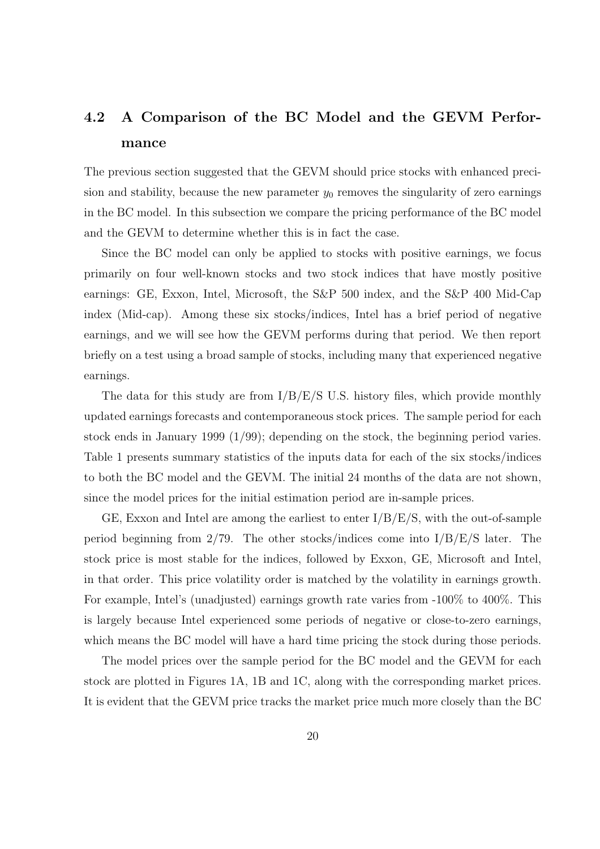# 4.2 A Comparison of the BC Model and the GEVM Performance

The previous section suggested that the GEVM should price stocks with enhanced precision and stability, because the new parameter  $y_0$  removes the singularity of zero earnings in the BC model. In this subsection we compare the pricing performance of the BC model and the GEVM to determine whether this is in fact the case.

Since the BC model can only be applied to stocks with positive earnings, we focus primarily on four well-known stocks and two stock indices that have mostly positive earnings: GE, Exxon, Intel, Microsoft, the S&P 500 index, and the S&P 400 Mid-Cap index (Mid-cap). Among these six stocks/indices, Intel has a brief period of negative earnings, and we will see how the GEVM performs during that period. We then report briefly on a test using a broad sample of stocks, including many that experienced negative earnings.

The data for this study are from  $I/B/E/S$  U.S. history files, which provide monthly updated earnings forecasts and contemporaneous stock prices. The sample period for each stock ends in January 1999 (1/99); depending on the stock, the beginning period varies. Table 1 presents summary statistics of the inputs data for each of the six stocks/indices to both the BC model and the GEVM. The initial 24 months of the data are not shown, since the model prices for the initial estimation period are in-sample prices.

GE, Exxon and Intel are among the earliest to enter  $I/B/E/S$ , with the out-of-sample period beginning from  $2/79$ . The other stocks/indices come into  $I/B/E/S$  later. The stock price is most stable for the indices, followed by Exxon, GE, Microsoft and Intel, in that order. This price volatility order is matched by the volatility in earnings growth. For example, Intel's (unadjusted) earnings growth rate varies from -100% to 400%. This is largely because Intel experienced some periods of negative or close-to-zero earnings, which means the BC model will have a hard time pricing the stock during those periods.

The model prices over the sample period for the BC model and the GEVM for each stock are plotted in Figures 1A, 1B and 1C, along with the corresponding market prices. It is evident that the GEVM price tracks the market price much more closely than the BC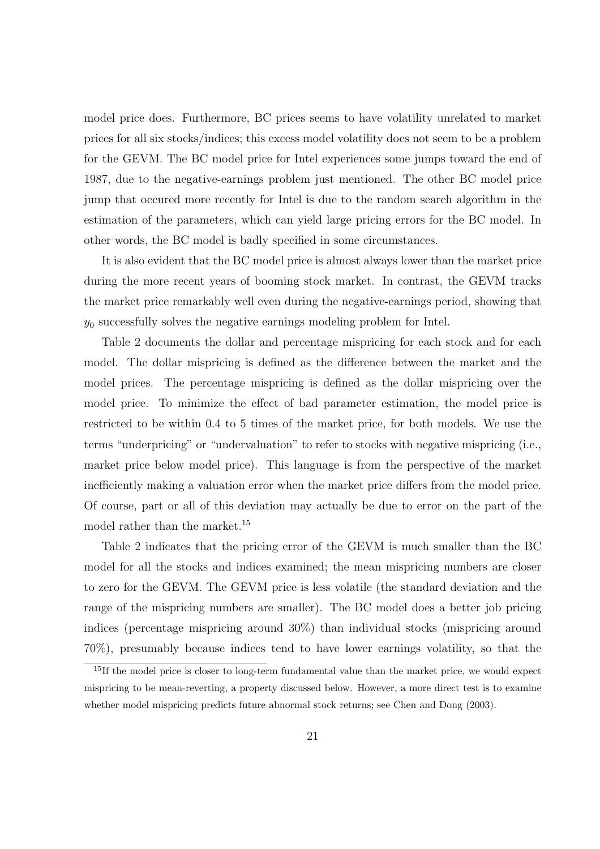model price does. Furthermore, BC prices seems to have volatility unrelated to market prices for all six stocks/indices; this excess model volatility does not seem to be a problem for the GEVM. The BC model price for Intel experiences some jumps toward the end of 1987, due to the negative-earnings problem just mentioned. The other BC model price jump that occured more recently for Intel is due to the random search algorithm in the estimation of the parameters, which can yield large pricing errors for the BC model. In other words, the BC model is badly specified in some circumstances.

It is also evident that the BC model price is almost always lower than the market price during the more recent years of booming stock market. In contrast, the GEVM tracks the market price remarkably well even during the negative-earnings period, showing that  $y_0$  successfully solves the negative earnings modeling problem for Intel.

Table 2 documents the dollar and percentage mispricing for each stock and for each model. The dollar mispricing is defined as the difference between the market and the model prices. The percentage mispricing is defined as the dollar mispricing over the model price. To minimize the effect of bad parameter estimation, the model price is restricted to be within 0.4 to 5 times of the market price, for both models. We use the terms "underpricing" or "undervaluation" to refer to stocks with negative mispricing (i.e., market price below model price). This language is from the perspective of the market inefficiently making a valuation error when the market price differs from the model price. Of course, part or all of this deviation may actually be due to error on the part of the model rather than the market.<sup>15</sup>

Table 2 indicates that the pricing error of the GEVM is much smaller than the BC model for all the stocks and indices examined; the mean mispricing numbers are closer to zero for the GEVM. The GEVM price is less volatile (the standard deviation and the range of the mispricing numbers are smaller). The BC model does a better job pricing indices (percentage mispricing around 30%) than individual stocks (mispricing around 70%), presumably because indices tend to have lower earnings volatility, so that the

<sup>&</sup>lt;sup>15</sup>If the model price is closer to long-term fundamental value than the market price, we would expect mispricing to be mean-reverting, a property discussed below. However, a more direct test is to examine whether model mispricing predicts future abnormal stock returns; see Chen and Dong (2003).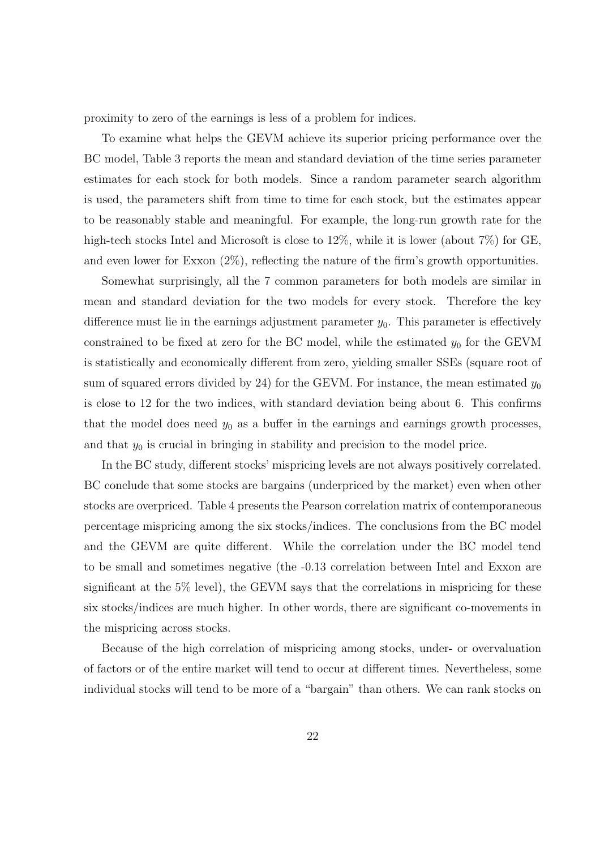proximity to zero of the earnings is less of a problem for indices.

To examine what helps the GEVM achieve its superior pricing performance over the BC model, Table 3 reports the mean and standard deviation of the time series parameter estimates for each stock for both models. Since a random parameter search algorithm is used, the parameters shift from time to time for each stock, but the estimates appear to be reasonably stable and meaningful. For example, the long-run growth rate for the high-tech stocks Intel and Microsoft is close to 12\%, while it is lower (about 7\%) for GE, and even lower for Exxon  $(2\%)$ , reflecting the nature of the firm's growth opportunities.

Somewhat surprisingly, all the 7 common parameters for both models are similar in mean and standard deviation for the two models for every stock. Therefore the key difference must lie in the earnings adjustment parameter  $y_0$ . This parameter is effectively constrained to be fixed at zero for the BC model, while the estimated  $y_0$  for the GEVM is statistically and economically different from zero, yielding smaller SSEs (square root of sum of squared errors divided by 24) for the GEVM. For instance, the mean estimated  $y_0$ is close to 12 for the two indices, with standard deviation being about 6. This confirms that the model does need  $y_0$  as a buffer in the earnings and earnings growth processes, and that  $y_0$  is crucial in bringing in stability and precision to the model price.

In the BC study, different stocks' mispricing levels are not always positively correlated. BC conclude that some stocks are bargains (underpriced by the market) even when other stocks are overpriced. Table 4 presents the Pearson correlation matrix of contemporaneous percentage mispricing among the six stocks/indices. The conclusions from the BC model and the GEVM are quite different. While the correlation under the BC model tend to be small and sometimes negative (the -0.13 correlation between Intel and Exxon are significant at the 5% level), the GEVM says that the correlations in mispricing for these six stocks/indices are much higher. In other words, there are significant co-movements in the mispricing across stocks.

Because of the high correlation of mispricing among stocks, under- or overvaluation of factors or of the entire market will tend to occur at different times. Nevertheless, some individual stocks will tend to be more of a "bargain" than others. We can rank stocks on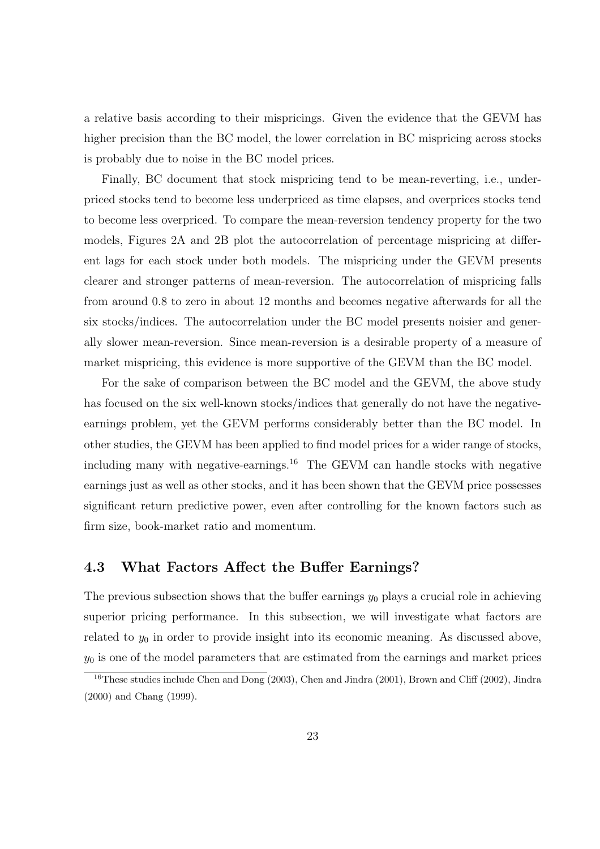a relative basis according to their mispricings. Given the evidence that the GEVM has higher precision than the BC model, the lower correlation in BC mispricing across stocks is probably due to noise in the BC model prices.

Finally, BC document that stock mispricing tend to be mean-reverting, i.e., underpriced stocks tend to become less underpriced as time elapses, and overprices stocks tend to become less overpriced. To compare the mean-reversion tendency property for the two models, Figures 2A and 2B plot the autocorrelation of percentage mispricing at different lags for each stock under both models. The mispricing under the GEVM presents clearer and stronger patterns of mean-reversion. The autocorrelation of mispricing falls from around 0.8 to zero in about 12 months and becomes negative afterwards for all the six stocks/indices. The autocorrelation under the BC model presents noisier and generally slower mean-reversion. Since mean-reversion is a desirable property of a measure of market mispricing, this evidence is more supportive of the GEVM than the BC model.

For the sake of comparison between the BC model and the GEVM, the above study has focused on the six well-known stocks/indices that generally do not have the negativeearnings problem, yet the GEVM performs considerably better than the BC model. In other studies, the GEVM has been applied to find model prices for a wider range of stocks, including many with negative-earnings.<sup>16</sup> The GEVM can handle stocks with negative earnings just as well as other stocks, and it has been shown that the GEVM price possesses significant return predictive power, even after controlling for the known factors such as firm size, book-market ratio and momentum.

### 4.3 What Factors Affect the Buffer Earnings?

The previous subsection shows that the buffer earnings  $y_0$  plays a crucial role in achieving superior pricing performance. In this subsection, we will investigate what factors are related to  $y_0$  in order to provide insight into its economic meaning. As discussed above,  $y_0$  is one of the model parameters that are estimated from the earnings and market prices

<sup>&</sup>lt;sup>16</sup>These studies include Chen and Dong (2003), Chen and Jindra (2001), Brown and Cliff (2002), Jindra (2000) and Chang (1999).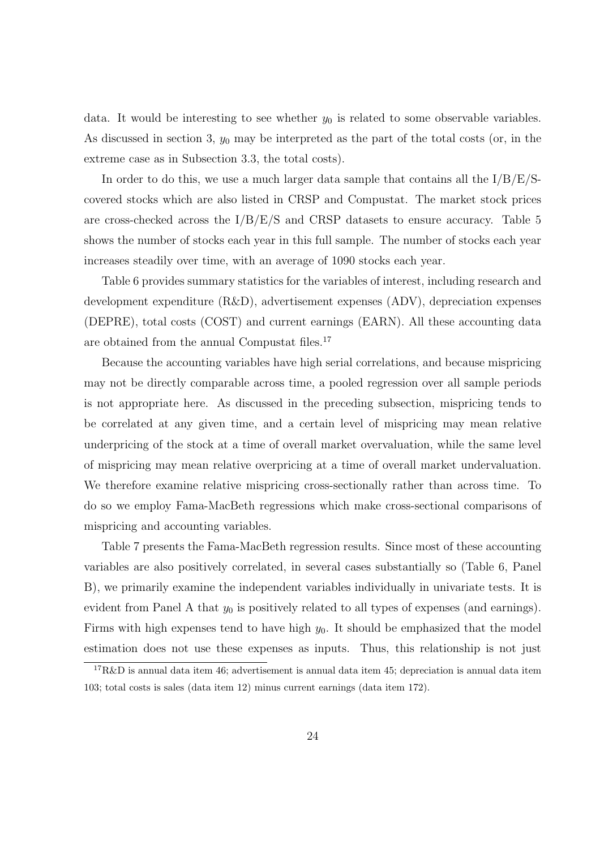data. It would be interesting to see whether  $y_0$  is related to some observable variables. As discussed in section 3,  $y_0$  may be interpreted as the part of the total costs (or, in the extreme case as in Subsection 3.3, the total costs).

In order to do this, we use a much larger data sample that contains all the  $I/B/E/S$ covered stocks which are also listed in CRSP and Compustat. The market stock prices are cross-checked across the  $I/B/E/S$  and CRSP datasets to ensure accuracy. Table 5 shows the number of stocks each year in this full sample. The number of stocks each year increases steadily over time, with an average of 1090 stocks each year.

Table 6 provides summary statistics for the variables of interest, including research and development expenditure (R&D), advertisement expenses (ADV), depreciation expenses (DEPRE), total costs (COST) and current earnings (EARN). All these accounting data are obtained from the annual Compustat files.<sup>17</sup>

Because the accounting variables have high serial correlations, and because mispricing may not be directly comparable across time, a pooled regression over all sample periods is not appropriate here. As discussed in the preceding subsection, mispricing tends to be correlated at any given time, and a certain level of mispricing may mean relative underpricing of the stock at a time of overall market overvaluation, while the same level of mispricing may mean relative overpricing at a time of overall market undervaluation. We therefore examine relative mispricing cross-sectionally rather than across time. To do so we employ Fama-MacBeth regressions which make cross-sectional comparisons of mispricing and accounting variables.

Table 7 presents the Fama-MacBeth regression results. Since most of these accounting variables are also positively correlated, in several cases substantially so (Table 6, Panel B), we primarily examine the independent variables individually in univariate tests. It is evident from Panel A that  $y_0$  is positively related to all types of expenses (and earnings). Firms with high expenses tend to have high  $y_0$ . It should be emphasized that the model estimation does not use these expenses as inputs. Thus, this relationship is not just

 ${}^{17}R\&D$  is annual data item 46; advertisement is annual data item 45; depreciation is annual data item 103; total costs is sales (data item 12) minus current earnings (data item 172).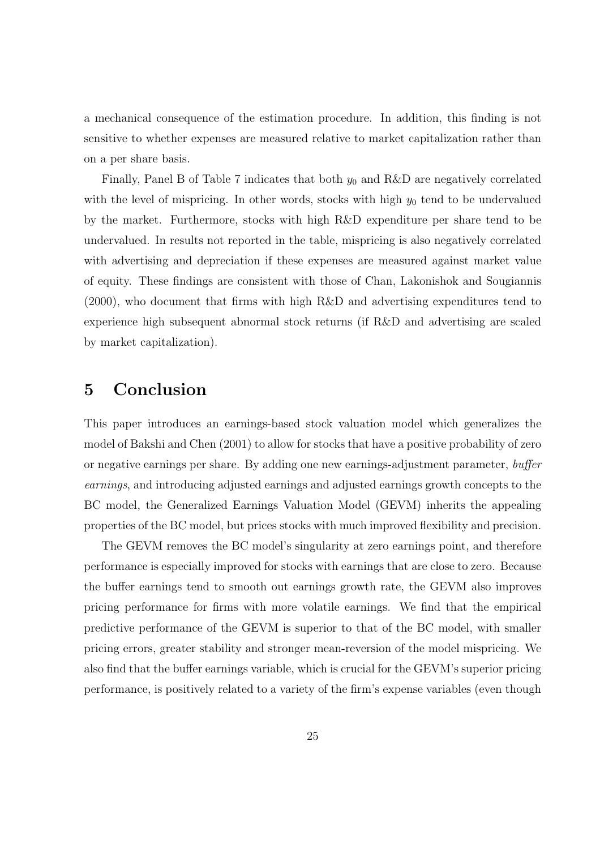a mechanical consequence of the estimation procedure. In addition, this finding is not sensitive to whether expenses are measured relative to market capitalization rather than on a per share basis.

Finally, Panel B of Table 7 indicates that both  $y_0$  and R&D are negatively correlated with the level of mispricing. In other words, stocks with high  $y_0$  tend to be undervalued by the market. Furthermore, stocks with high R&D expenditure per share tend to be undervalued. In results not reported in the table, mispricing is also negatively correlated with advertising and depreciation if these expenses are measured against market value of equity. These findings are consistent with those of Chan, Lakonishok and Sougiannis (2000), who document that firms with high R&D and advertising expenditures tend to experience high subsequent abnormal stock returns (if R&D and advertising are scaled by market capitalization).

# 5 Conclusion

This paper introduces an earnings-based stock valuation model which generalizes the model of Bakshi and Chen (2001) to allow for stocks that have a positive probability of zero or negative earnings per share. By adding one new earnings-adjustment parameter, buffer earnings, and introducing adjusted earnings and adjusted earnings growth concepts to the BC model, the Generalized Earnings Valuation Model (GEVM) inherits the appealing properties of the BC model, but prices stocks with much improved flexibility and precision.

The GEVM removes the BC model's singularity at zero earnings point, and therefore performance is especially improved for stocks with earnings that are close to zero. Because the buffer earnings tend to smooth out earnings growth rate, the GEVM also improves pricing performance for firms with more volatile earnings. We find that the empirical predictive performance of the GEVM is superior to that of the BC model, with smaller pricing errors, greater stability and stronger mean-reversion of the model mispricing. We also find that the buffer earnings variable, which is crucial for the GEVM's superior pricing performance, is positively related to a variety of the firm's expense variables (even though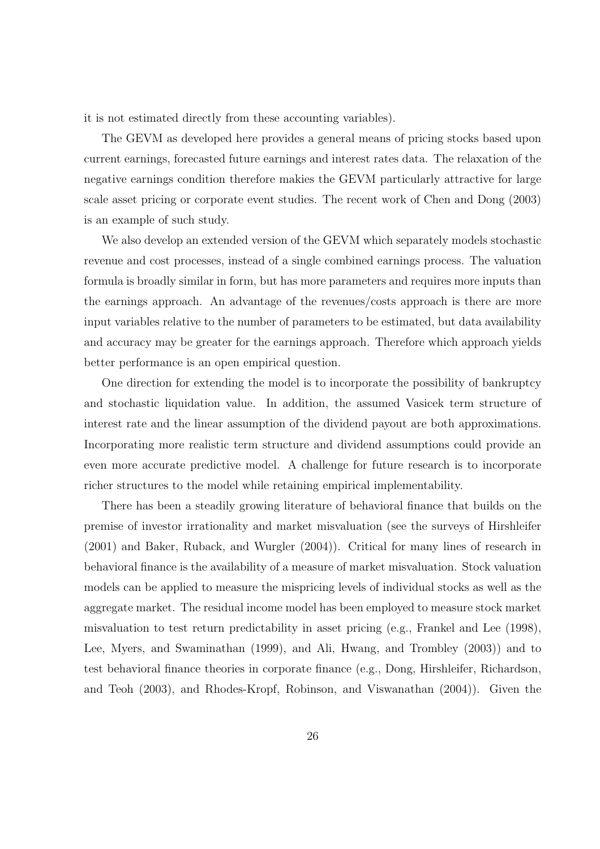it is not estimated directly from these accounting variables).

The GEVM as developed here provides a general means of pricing stocks based upon current earnings, forecasted future earnings and interest rates data. The relaxation of the negative earnings condition therefore makies the GEVM particularly attractive for large scale asset pricing or corporate event studies. The recent work of Chen and Dong (2003) is an example of such study.

We also develop an extended version of the GEVM which separately models stochastic revenue and cost processes, instead of a single combined earnings process. The valuation formula is broadly similar in form, but has more parameters and requires more inputs than the earnings approach. An advantage of the revenues/costs approach is there are more input variables relative to the number of parameters to be estimated, but data availability and accuracy may be greater for the earnings approach. Therefore which approach yields better performance is an open empirical question.

One direction for extending the model is to incorporate the possibility of bankruptcy and stochastic liquidation value. In addition, the assumed Vasicek term structure of interest rate and the linear assumption of the dividend payout are both approximations. Incorporating more realistic term structure and dividend assumptions could provide an even more accurate predictive model. A challenge for future research is to incorporate richer structures to the model while retaining empirical implementability.

There has been a steadily growing literature of behavioral finance that builds on the premise of investor irrationality and market misvaluation (see the surveys of Hirshleifer (2001) and Baker, Ruback, and Wurgler (2004)). Critical for many lines of research in behavioral finance is the availability of a measure of market misvaluation. Stock valuation models can be applied to measure the mispricing levels of individual stocks as well as the aggregate market. The residual income model has been employed to measure stock market misvaluation to test return predictability in asset pricing (e.g., Frankel and Lee (1998), Lee, Myers, and Swaminathan (1999), and Ali, Hwang, and Trombley (2003)) and to test behavioral finance theories in corporate finance (e.g., Dong, Hirshleifer, Richardson, and Teoh (2003), and Rhodes-Kropf, Robinson, and Viswanathan (2004)). Given the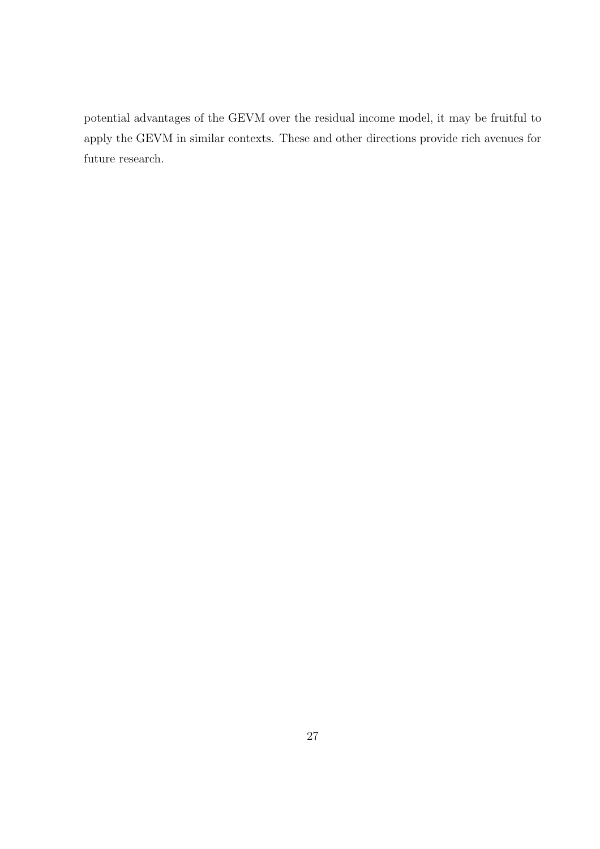potential advantages of the GEVM over the residual income model, it may be fruitful to apply the GEVM in similar contexts. These and other directions provide rich avenues for future research.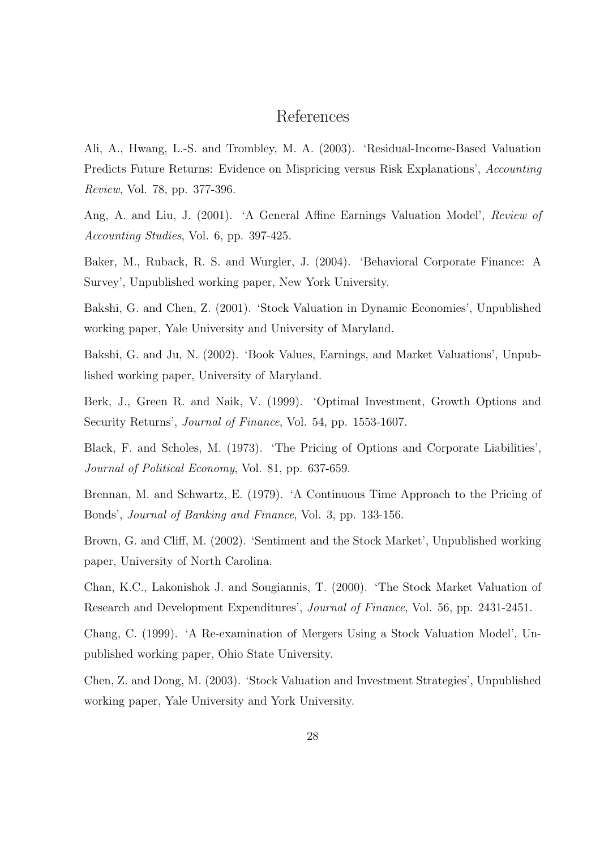## References

Ali, A., Hwang, L.-S. and Trombley, M. A. (2003). 'Residual-Income-Based Valuation Predicts Future Returns: Evidence on Mispricing versus Risk Explanations', Accounting Review, Vol. 78, pp. 377-396.

Ang, A. and Liu, J. (2001). 'A General Affine Earnings Valuation Model', Review of Accounting Studies, Vol. 6, pp. 397-425.

Baker, M., Ruback, R. S. and Wurgler, J. (2004). 'Behavioral Corporate Finance: A Survey', Unpublished working paper, New York University.

Bakshi, G. and Chen, Z. (2001). 'Stock Valuation in Dynamic Economies', Unpublished working paper, Yale University and University of Maryland.

Bakshi, G. and Ju, N. (2002). 'Book Values, Earnings, and Market Valuations', Unpublished working paper, University of Maryland.

Berk, J., Green R. and Naik, V. (1999). 'Optimal Investment, Growth Options and Security Returns', *Journal of Finance*, Vol. 54, pp. 1553-1607.

Black, F. and Scholes, M. (1973). 'The Pricing of Options and Corporate Liabilities', Journal of Political Economy, Vol. 81, pp. 637-659.

Brennan, M. and Schwartz, E. (1979). 'A Continuous Time Approach to the Pricing of Bonds', Journal of Banking and Finance, Vol. 3, pp. 133-156.

Brown, G. and Cliff, M. (2002). 'Sentiment and the Stock Market', Unpublished working paper, University of North Carolina.

Chan, K.C., Lakonishok J. and Sougiannis, T. (2000). 'The Stock Market Valuation of Research and Development Expenditures', Journal of Finance, Vol. 56, pp. 2431-2451.

Chang, C. (1999). 'A Re-examination of Mergers Using a Stock Valuation Model', Unpublished working paper, Ohio State University.

Chen, Z. and Dong, M. (2003). 'Stock Valuation and Investment Strategies', Unpublished working paper, Yale University and York University.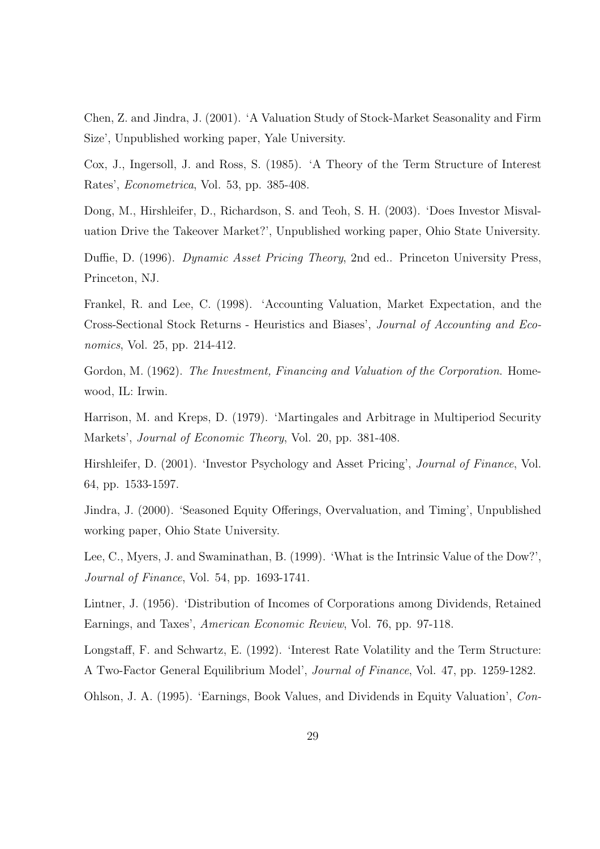Chen, Z. and Jindra, J. (2001). 'A Valuation Study of Stock-Market Seasonality and Firm Size', Unpublished working paper, Yale University.

Cox, J., Ingersoll, J. and Ross, S. (1985). 'A Theory of the Term Structure of Interest Rates', Econometrica, Vol. 53, pp. 385-408.

Dong, M., Hirshleifer, D., Richardson, S. and Teoh, S. H. (2003). 'Does Investor Misvaluation Drive the Takeover Market?', Unpublished working paper, Ohio State University.

Duffie, D. (1996). Dynamic Asset Pricing Theory, 2nd ed.. Princeton University Press, Princeton, NJ.

Frankel, R. and Lee, C. (1998). 'Accounting Valuation, Market Expectation, and the Cross-Sectional Stock Returns - Heuristics and Biases', Journal of Accounting and Economics, Vol. 25, pp. 214-412.

Gordon, M. (1962). The Investment, Financing and Valuation of the Corporation. Homewood, IL: Irwin.

Harrison, M. and Kreps, D. (1979). 'Martingales and Arbitrage in Multiperiod Security Markets', Journal of Economic Theory, Vol. 20, pp. 381-408.

Hirshleifer, D. (2001). 'Investor Psychology and Asset Pricing', Journal of Finance, Vol. 64, pp. 1533-1597.

Jindra, J. (2000). 'Seasoned Equity Offerings, Overvaluation, and Timing', Unpublished working paper, Ohio State University.

Lee, C., Myers, J. and Swaminathan, B. (1999). 'What is the Intrinsic Value of the Dow?', Journal of Finance, Vol. 54, pp. 1693-1741.

Lintner, J. (1956). 'Distribution of Incomes of Corporations among Dividends, Retained Earnings, and Taxes', American Economic Review, Vol. 76, pp. 97-118.

Longstaff, F. and Schwartz, E. (1992). 'Interest Rate Volatility and the Term Structure: A Two-Factor General Equilibrium Model', Journal of Finance, Vol. 47, pp. 1259-1282.

Ohlson, J. A. (1995). 'Earnings, Book Values, and Dividends in Equity Valuation', Con-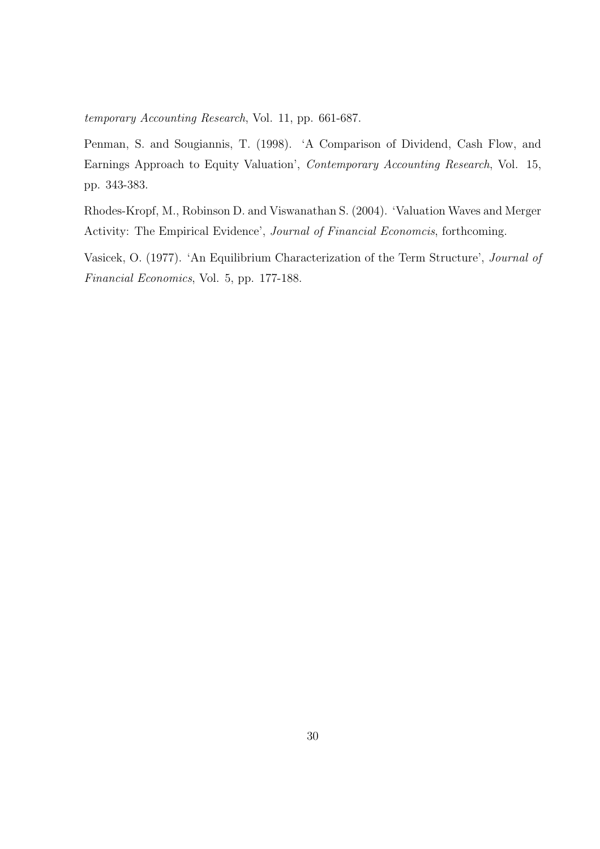temporary Accounting Research, Vol. 11, pp. 661-687.

Penman, S. and Sougiannis, T. (1998). 'A Comparison of Dividend, Cash Flow, and Earnings Approach to Equity Valuation', Contemporary Accounting Research, Vol. 15, pp. 343-383.

Rhodes-Kropf, M., Robinson D. and Viswanathan S. (2004). 'Valuation Waves and Merger Activity: The Empirical Evidence', Journal of Financial Economcis, forthcoming.

Vasicek, O. (1977). 'An Equilibrium Characterization of the Term Structure', Journal of Financial Economics, Vol. 5, pp. 177-188.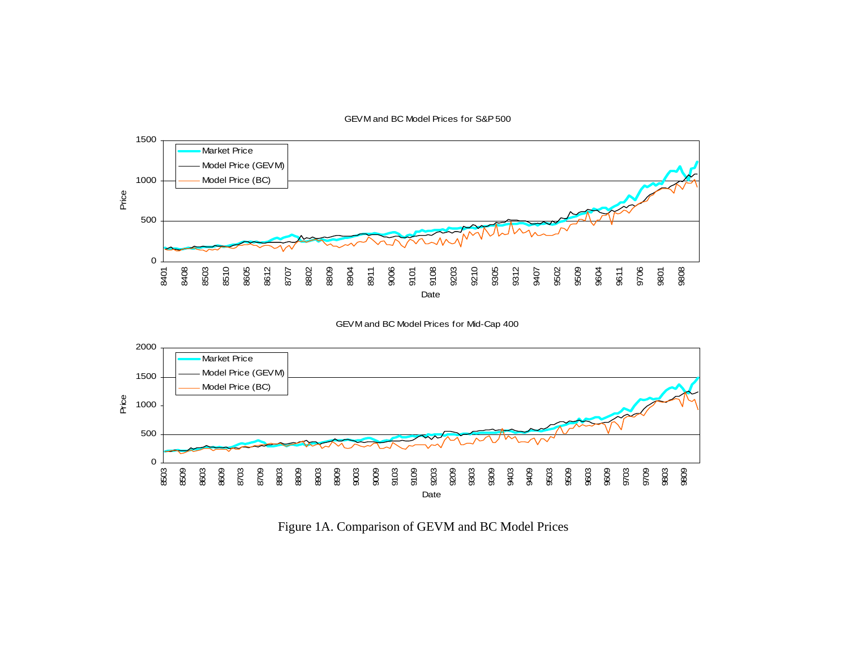GEVM and BC Model Prices for S&P 500







Figure 1A. Comparison of GEVM and BC Model Prices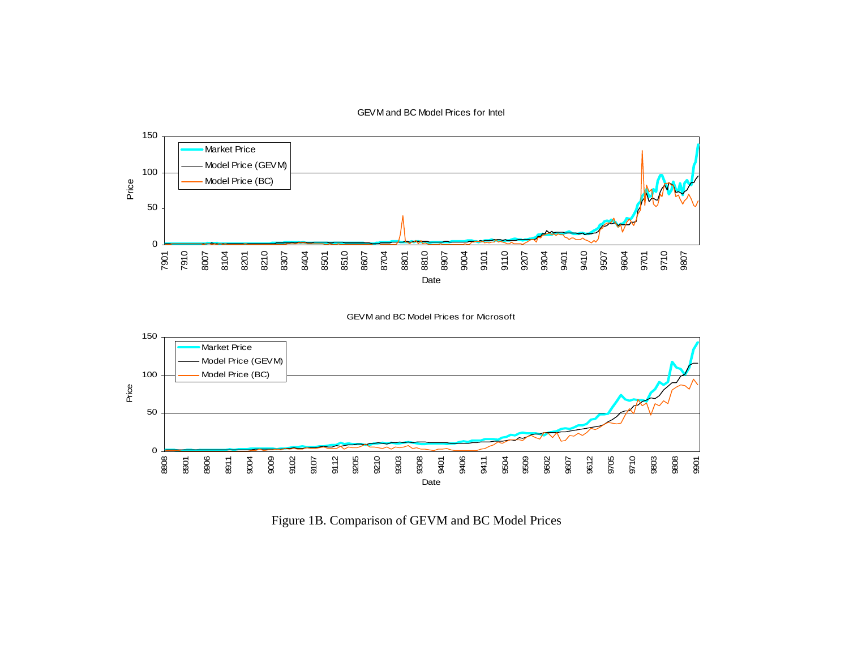GEVM and BC Model Prices for Intel







Figure 1B. Comparison of GEVM and BC Model Prices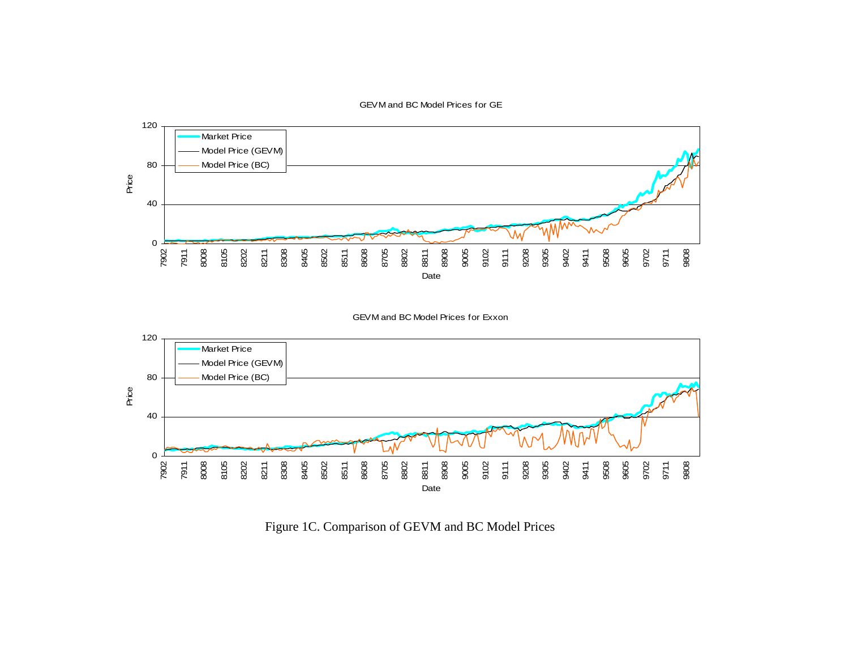GEVM and BC Model Prices for GE



GEVM and BC Model Prices for Exxon



Figure 1C. Comparison of GEVM and BC Model Prices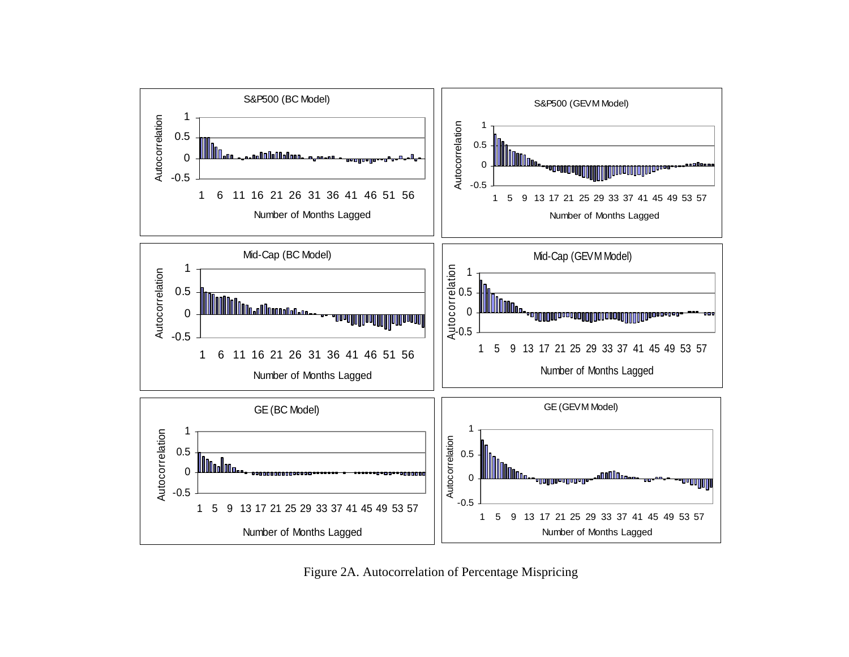

Figure 2A. Autocorrelation of Percentage Mispricing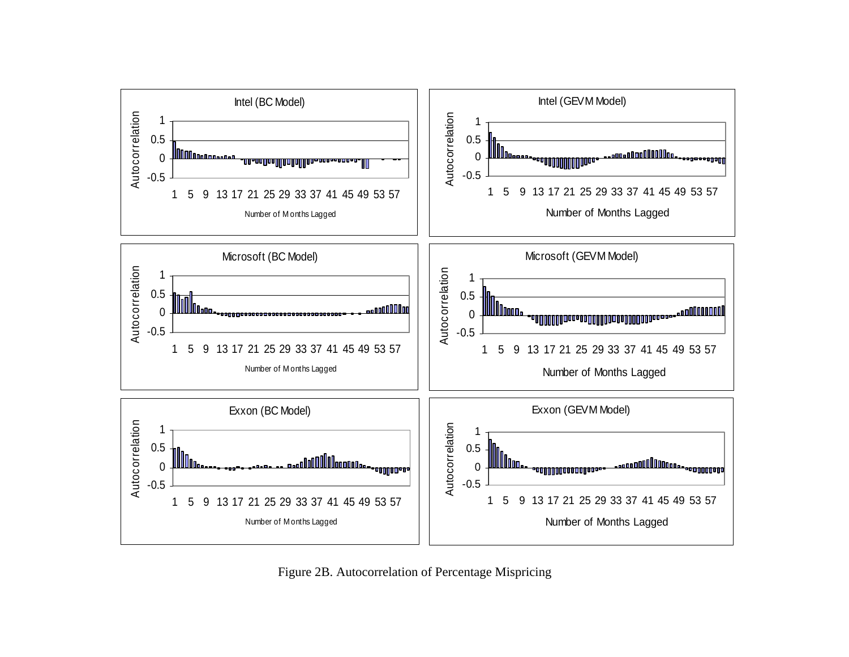

Figure 2B. Autocorrelation of Percentage Mispricing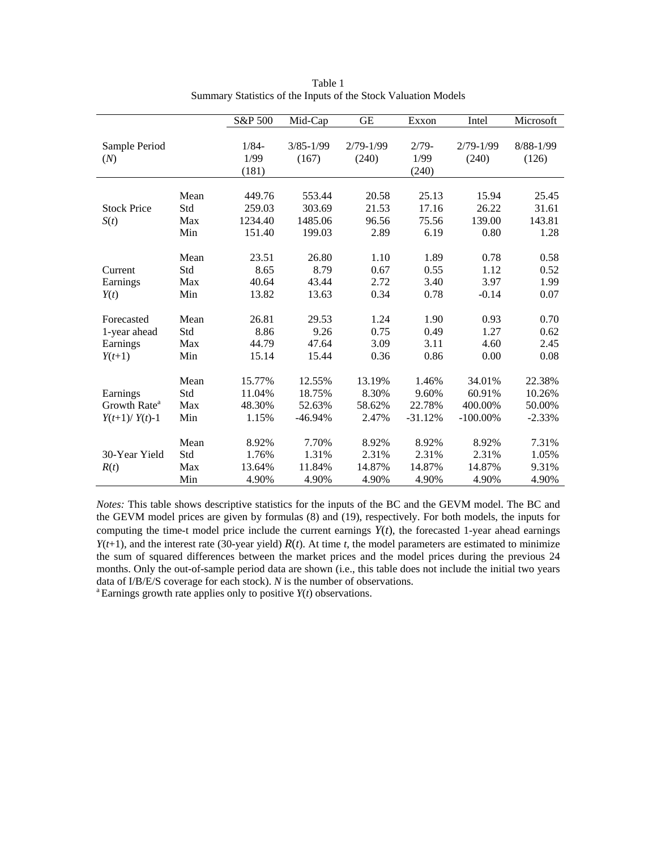|                                                         |                           | S&P 500                               | Mid-Cap                                 | <b>GE</b>                          | Exxon                                 | Intel                                      | Microsoft                              |
|---------------------------------------------------------|---------------------------|---------------------------------------|-----------------------------------------|------------------------------------|---------------------------------------|--------------------------------------------|----------------------------------------|
| Sample Period<br>(N)                                    |                           | $1/84 -$<br>1/99<br>(181)             | $3/85 - 1/99$<br>(167)                  | $2/79 - 1/99$<br>(240)             | $2/79-$<br>1/99<br>(240)              | $2/79 - 1/99$<br>(240)                     | 8/88-1/99<br>(126)                     |
| <b>Stock Price</b><br>S(t)                              | Mean<br>Std<br>Max<br>Min | 449.76<br>259.03<br>1234.40<br>151.40 | 553.44<br>303.69<br>1485.06<br>199.03   | 20.58<br>21.53<br>96.56<br>2.89    | 25.13<br>17.16<br>75.56<br>6.19       | 15.94<br>26.22<br>139.00<br>0.80           | 25.45<br>31.61<br>143.81<br>1.28       |
| Current<br>Earnings<br>Y(t)                             | Mean<br>Std<br>Max<br>Min | 23.51<br>8.65<br>40.64<br>13.82       | 26.80<br>8.79<br>43.44<br>13.63         | 1.10<br>0.67<br>2.72<br>0.34       | 1.89<br>0.55<br>3.40<br>0.78          | 0.78<br>1.12<br>3.97<br>$-0.14$            | 0.58<br>0.52<br>1.99<br>0.07           |
| Forecasted<br>1-year ahead<br>Earnings<br>$Y(t+1)$      | Mean<br>Std<br>Max<br>Min | 26.81<br>8.86<br>44.79<br>15.14       | 29.53<br>9.26<br>47.64<br>15.44         | 1.24<br>0.75<br>3.09<br>0.36       | 1.90<br>0.49<br>3.11<br>0.86          | 0.93<br>1.27<br>4.60<br>0.00               | 0.70<br>0.62<br>2.45<br>0.08           |
| Earnings<br>Growth Rate <sup>a</sup><br>$Y(t+1)/Y(t)-1$ | Mean<br>Std<br>Max<br>Min | 15.77%<br>11.04%<br>48.30%<br>1.15%   | 12.55%<br>18.75%<br>52.63%<br>$-46.94%$ | 13.19%<br>8.30%<br>58.62%<br>2.47% | 1.46%<br>9.60%<br>22.78%<br>$-31.12%$ | 34.01%<br>60.91%<br>400.00%<br>$-100.00\%$ | 22.38%<br>10.26%<br>50.00%<br>$-2.33%$ |
| 30-Year Yield<br>R(t)                                   | Mean<br>Std<br>Max<br>Min | 8.92%<br>1.76%<br>13.64%<br>4.90%     | 7.70%<br>1.31%<br>11.84%<br>4.90%       | 8.92%<br>2.31%<br>14.87%<br>4.90%  | 8.92%<br>2.31%<br>14.87%<br>4.90%     | 8.92%<br>2.31%<br>14.87%<br>4.90%          | 7.31%<br>1.05%<br>9.31%<br>4.90%       |

Table 1 Summary Statistics of the Inputs of the Stock Valuation Models

*Notes:* This table shows descriptive statistics for the inputs of the BC and the GEVM model. The BC and the GEVM model prices are given by formulas (8) and (19), respectively. For both models, the inputs for computing the time-t model price include the current earnings  $Y(t)$ , the forecasted 1-year ahead earnings  $Y(t+1)$ , and the interest rate (30-year yield)  $R(t)$ . At time *t*, the model parameters are estimated to minimize the sum of squared differences between the market prices and the model prices during the previous 24 months. Only the out-of-sample period data are shown (i.e., this table does not include the initial two years data of I/B/E/S coverage for each stock).  $N$  is the number of observations.  $\binom{a}{k}$  Earnings growth rate applies only to positive *Y*(*t*) observations.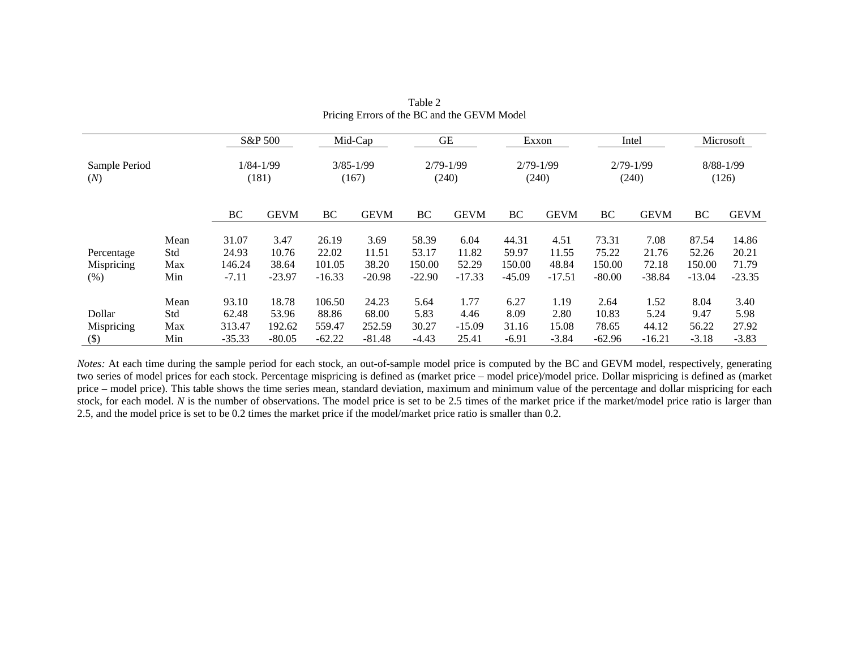|                      |             |                   | S&P 500                |                    | Mid-Cap                |                    | GE                     |                    | Exxon                  |                    | Intel                  |                    | Microsoft              |
|----------------------|-------------|-------------------|------------------------|--------------------|------------------------|--------------------|------------------------|--------------------|------------------------|--------------------|------------------------|--------------------|------------------------|
| Sample Period<br>(N) |             |                   | $1/84 - 1/99$<br>(181) |                    | $3/85 - 1/99$<br>(167) |                    | $2/79 - 1/99$<br>(240) |                    | $2/79 - 1/99$<br>(240) |                    | $2/79 - 1/99$<br>(240) |                    | $8/88 - 1/99$<br>(126) |
|                      |             | BC                | <b>GEVM</b>            | BC                 | <b>GEVM</b>            | BC                 | <b>GEVM</b>            | BC                 | <b>GEVM</b>            | BC                 | <b>GEVM</b>            | BC                 | <b>GEVM</b>            |
| Percentage           | Mean<br>Std | 31.07<br>24.93    | 3.47<br>10.76          | 26.19<br>22.02     | 3.69<br>11.51          | 58.39<br>53.17     | 6.04<br>11.82          | 44.31<br>59.97     | 4.51<br>11.55          | 73.31<br>75.22     | 7.08<br>21.76          | 87.54<br>52.26     | 14.86<br>20.21         |
| Mispricing<br>(% )   | Max<br>Min  | 146.24<br>$-7.11$ | 38.64<br>$-23.97$      | 101.05<br>$-16.33$ | 38.20<br>$-20.98$      | 150.00<br>$-22.90$ | 52.29<br>$-17.33$      | 150.00<br>$-45.09$ | 48.84<br>$-17.51$      | 150.00<br>$-80.00$ | 72.18<br>$-38.84$      | 150.00<br>$-13.04$ | 71.79<br>$-23.35$      |
|                      | Mean        | 93.10             | 18.78                  | 106.50             | 24.23                  | 5.64               | 1.77                   | 6.27               | 1.19                   | 2.64               | 1.52                   | 8.04               | 3.40                   |
| Dollar<br>Mispricing | Std<br>Max  | 62.48<br>313.47   | 53.96<br>192.62        | 88.86<br>559.47    | 68.00<br>252.59        | 5.83<br>30.27      | 4.46<br>$-15.09$       | 8.09<br>31.16      | 2.80<br>15.08          | 10.83<br>78.65     | 5.24<br>44.12          | 9.47<br>56.22      | 5.98<br>27.92          |
| $($ \$               | Min         | $-35.33$          | $-80.05$               | $-62.22$           | $-81.48$               | $-4.43$            | 25.41                  | $-6.91$            | $-3.84$                | $-62.96$           | $-16.21$               | $-3.18$            | $-3.83$                |

| Table 2                                     |
|---------------------------------------------|
| Pricing Errors of the BC and the GEVM Model |

*Notes:* At each time during the sample period for each stock, an out-of-sample model price is computed by the BC and GEVM model, respectively, generating two series of model prices for each stock. Percentage mispricing is defined as (market price – model price)/model price. Dollar mispricing is defined as (market price – model price). This table shows the time series mean, standard deviation, maximum and minimum value of the percentage and dollar mispricing for each stock, for each model. *N* is the number of observations. The model price is set to be 2.5 times of the market price if the market/model price ratio is larger than 2.5, and the model price is set to be 0.2 times the market price if the model/market price ratio is smaller than 0.2.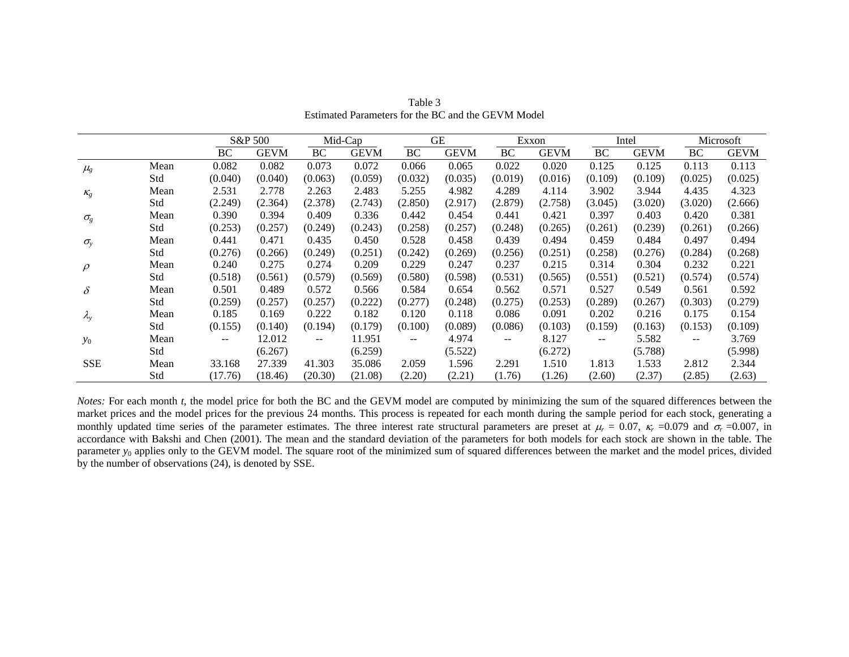|                   |      | S&P 500                  |             | Mid-Cap |             |                          | GЕ          |         | Exxon       |         | Intel       |         | Microsoft   |  |
|-------------------|------|--------------------------|-------------|---------|-------------|--------------------------|-------------|---------|-------------|---------|-------------|---------|-------------|--|
|                   |      | ВC                       | <b>GEVM</b> | BC      | <b>GEVM</b> | BC                       | <b>GEVM</b> | BC      | <b>GEVM</b> | BC      | <b>GEVM</b> | BC      | <b>GEVM</b> |  |
| $\mu_{g}$         | Mean | 0.082                    | 0.082       | 0.073   | 0.072       | 0.066                    | 0.065       | 0.022   | 0.020       | 0.125   | 0.125       | 0.113   | 0.113       |  |
|                   | Std  | (0.040)                  | (0.040)     | (0.063) | (0.059)     | (0.032)                  | (0.035)     | (0.019) | (0.016)     | (0.109) | (0.109)     | (0.025) | (0.025)     |  |
| $K_g$             | Mean | 2.531                    | 2.778       | 2.263   | 2.483       | 5.255                    | 4.982       | 4.289   | 4.114       | 3.902   | 3.944       | 4.435   | 4.323       |  |
|                   | Std  | (2.249)                  | (2.364)     | (2.378) | (2.743)     | (2.850)                  | (2.917)     | (2.879) | (2.758)     | (3.045) | (3.020)     | (3.020) | (2.666)     |  |
| $\sigma_{g}$      | Mean | 0.390                    | 0.394       | 0.409   | 0.336       | 0.442                    | 0.454       | 0.441   | 0.421       | 0.397   | 0.403       | 0.420   | 0.381       |  |
|                   | Std  | (0.253)                  | (0.257)     | (0.249) | (0.243)     | (0.258)                  | (0.257)     | (0.248) | (0.265)     | (0.261) | (0.239)     | (0.261) | (0.266)     |  |
| $\sigma_{v}$      | Mean | 0.441                    | 0.471       | 0.435   | 0.450       | 0.528                    | 0.458       | 0.439   | 0.494       | 0.459   | 0.484       | 0.497   | 0.494       |  |
|                   | Std  | (0.276)                  | (0.266)     | (0.249) | (0.251)     | (0.242)                  | (0.269)     | (0.256) | (0.251)     | (0.258) | (0.276)     | (0.284) | (0.268)     |  |
| $\rho$            | Mean | 0.240                    | 0.275       | 0.274   | 0.209       | 0.229                    | 0.247       | 0.237   | 0.215       | 0.314   | 0.304       | 0.232   | 0.221       |  |
|                   | Std  | (0.518)                  | (0.561)     | (0.579) | (0.569)     | (0.580)                  | (0.598)     | (0.531) | (0.565)     | (0.551) | (0.521)     | (0.574) | (0.574)     |  |
| $\delta$          | Mean | 0.501                    | 0.489       | 0.572   | 0.566       | 0.584                    | 0.654       | 0.562   | 0.571       | 0.527   | 0.549       | 0.561   | 0.592       |  |
|                   | Std  | (0.259)                  | (0.257)     | (0.257) | (0.222)     | (0.277)                  | (0.248)     | (0.275) | (0.253)     | (0.289) | (0.267)     | (0.303) | (0.279)     |  |
| $\lambda_{\rm v}$ | Mean | 0.185                    | 0.169       | 0.222   | 0.182       | 0.120                    | 0.118       | 0.086   | 0.091       | 0.202   | 0.216       | 0.175   | 0.154       |  |
|                   | Std  | (0.155)                  | (0.140)     | (0.194) | (0.179)     | (0.100)                  | (0.089)     | (0.086) | (0.103)     | (0.159) | (0.163)     | (0.153) | (0.109)     |  |
| $y_0$             | Mean | $\overline{\phantom{a}}$ | 12.012      | $- -$   | 11.951      | $\overline{\phantom{a}}$ | 4.974       |         | 8.127       |         | 5.582       | --      | 3.769       |  |
|                   | Std  |                          | (6.267)     |         | (6.259)     |                          | (5.522)     |         | (6.272)     |         | (5.788)     |         | (5.998)     |  |
| <b>SSE</b>        | Mean | 33.168                   | 27.339      | 41.303  | 35.086      | 2.059                    | 1.596       | 2.291   | 1.510       | 1.813   | 1.533       | 2.812   | 2.344       |  |
|                   | Std  | (17.76)                  | (18.46)     | (20.30) | (21.08)     | (2.20)                   | (2.21)      | (1.76)  | (1.26)      | (2.60)  | (2.37)      | (2.85)  | (2.63)      |  |

Table 3 Estimated Parameters for the BC and the GEVM Model

*Notes:* For each month *t*, the model price for both the BC and the GEVM model are computed by minimizing the sum of the squared differences between the market prices and the model prices for the previous 24 months. This process is repeated for each month during the sample period for each stock, generating a monthly updated time series of the parameter estimates. The three interest rate structural parameters are preset at  $\mu_r = 0.07$ ,  $\kappa_r = 0.079$  and  $\sigma_r = 0.007$ , in accordance with Bakshi and Chen (2001). The mean and the standard deviation of the parameters for both models for each stock are shown in the table. The parameter  $y_0$  applies only to the GEVM model. The square root of the minimized sum of squared differences between the market and the model prices, divided by the number of observations (24), is denoted by SSE.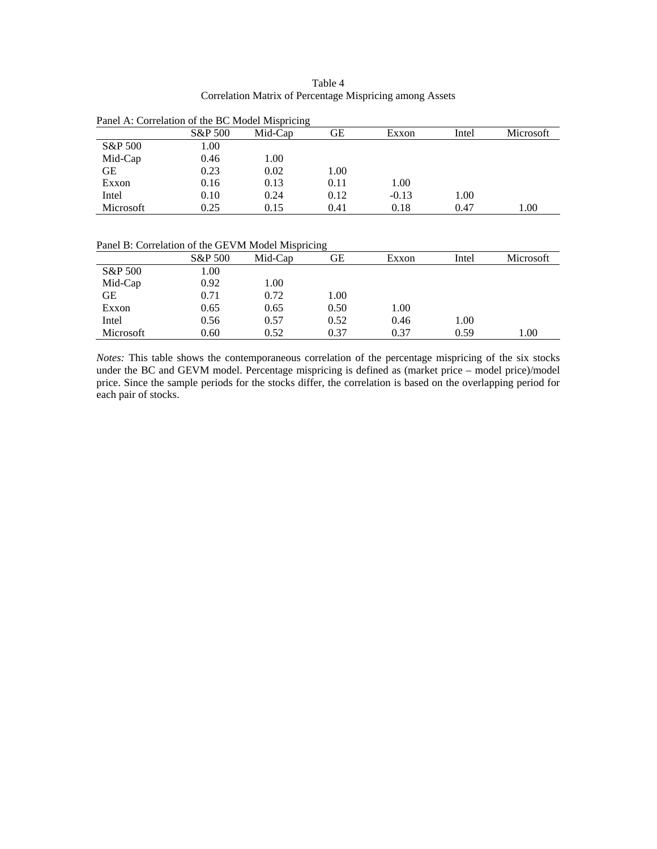| Table 4                                                  |
|----------------------------------------------------------|
| Correlation Matrix of Percentage Mispricing among Assets |

| F aller A. Correlation of the DC Model Mispricing |         |         |      |         |       |           |  |  |  |
|---------------------------------------------------|---------|---------|------|---------|-------|-----------|--|--|--|
|                                                   | S&P 500 | Mid-Cap | GЕ   | Exxon   | Intel | Microsoft |  |  |  |
| S&P 500                                           | 1.00    |         |      |         |       |           |  |  |  |
| Mid-Cap                                           | 0.46    | 1.00    |      |         |       |           |  |  |  |
| GЕ                                                | 0.23    | 0.02    | 1.00 |         |       |           |  |  |  |
| Exxon                                             | 0.16    | 0.13    | 0.11 | 1.00    |       |           |  |  |  |
| Intel                                             | 0.10    | 0.24    | 0.12 | $-0.13$ | 1.00  |           |  |  |  |
| Microsoft                                         | 0.25    | 0.15    | 0.41 | 0.18    | 0.47  | 00.1      |  |  |  |

Panel A: Correlation of the BC Model Mispricing

Panel B: Correlation of the GEVM Model Mispricing

|           | S&P 500 | Mid-Cap | GЕ   | Exxon | Intel | Microsoft |
|-----------|---------|---------|------|-------|-------|-----------|
| S&P 500   | 1.00    |         |      |       |       |           |
| Mid-Cap   | 0.92    | 1.00    |      |       |       |           |
| GЕ        | 0.71    | 0.72    | 1.00 |       |       |           |
| Exxon     | 0.65    | 0.65    | 0.50 | 1.00  |       |           |
| Intel     | 0.56    | 0.57    | 0.52 | 0.46  | 1.00  |           |
| Microsoft | 0.60    | 0.52    | 0.37 | 0.37  | 0.59  | 1.00      |

*Notes:* This table shows the contemporaneous correlation of the percentage mispricing of the six stocks under the BC and GEVM model. Percentage mispricing is defined as (market price – model price)/model price. Since the sample periods for the stocks differ, the correlation is based on the overlapping period for each pair of stocks.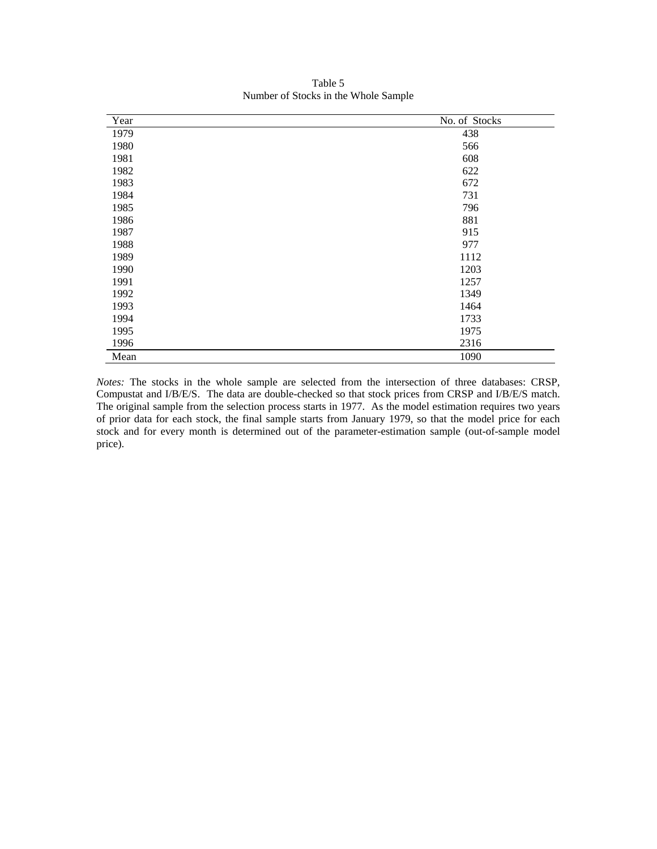| Year | No. of Stocks |
|------|---------------|
|      |               |
| 1979 | 438           |
| 1980 | 566           |
| 1981 | 608           |
| 1982 | 622           |
| 1983 | 672           |
| 1984 | 731           |
| 1985 | 796           |
| 1986 | 881           |
| 1987 | 915           |
| 1988 | 977           |
| 1989 | 1112          |
| 1990 | 1203          |
| 1991 | 1257          |
| 1992 | 1349          |
| 1993 | 1464          |
| 1994 | 1733          |
| 1995 | 1975          |
| 1996 | 2316          |
| Mean | 1090          |

Table 5 Number of Stocks in the Whole Sample

*Notes:* The stocks in the whole sample are selected from the intersection of three databases: CRSP, Compustat and I/B/E/S. The data are double-checked so that stock prices from CRSP and I/B/E/S match. The original sample from the selection process starts in 1977. As the model estimation requires two years of prior data for each stock, the final sample starts from January 1979, so that the model price for each stock and for every month is determined out of the parameter-estimation sample (out-of-sample model price).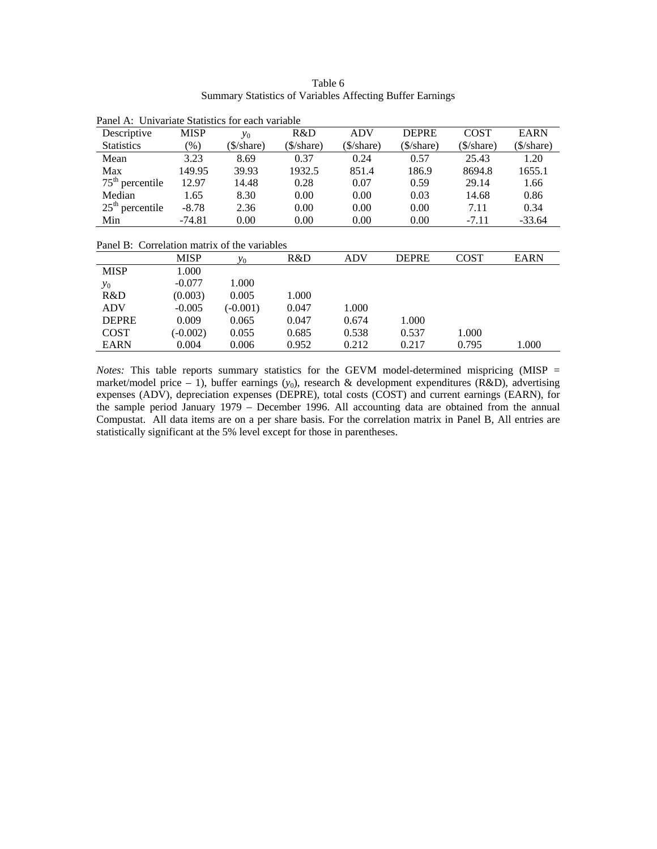| Table 6                                                   |
|-----------------------------------------------------------|
| Summary Statistics of Variables Affecting Buffer Earnings |

| танст А. Онгуанак эланзисэ төг сасн уанабк   |             |              |            |            |              |             |             |
|----------------------------------------------|-------------|--------------|------------|------------|--------------|-------------|-------------|
| Descriptive                                  | <b>MISP</b> | $y_0$        | R&D        | ADV        | <b>DEPRE</b> | <b>COST</b> | <b>EARN</b> |
| <b>Statistics</b>                            | $(\%)$      | $(\$/share)$ | (\$/share) | (\$/share) | $(\$/share)$ | (\$/share)  | (\$/share)  |
| Mean                                         | 3.23        | 8.69         | 0.37       | 0.24       | 0.57         | 25.43       | 1.20        |
| Max                                          | 149.95      | 39.93        | 1932.5     | 851.4      | 186.9        | 8694.8      | 1655.1      |
| $75th$ percentile                            | 12.97       | 14.48        | 0.28       | 0.07       | 0.59         | 29.14       | 1.66        |
| Median                                       | 1.65        | 8.30         | 0.00       | 0.00       | 0.03         | 14.68       | 0.86        |
| $25th$ percentile                            | $-8.78$     | 2.36         | 0.00       | 0.00       | 0.00         | 7.11        | 0.34        |
| Min                                          | $-74.81$    | 0.00         | 0.00       | 0.00       | 0.00         | $-7.11$     | $-33.64$    |
| Panel B: Correlation matrix of the variables |             |              |            |            |              |             |             |
|                                              | <b>MISP</b> | $y_0$        | R&D        | ADV        | <b>DEPRE</b> | COST        | <b>EARN</b> |
| <b>MISP</b>                                  | 1.000       |              |            |            |              |             |             |
| $y_0$                                        | $-0.077$    | 1.000        |            |            |              |             |             |
| R&D                                          | (0.003)     | 0.005        | 1.000      |            |              |             |             |
| ADV                                          | $-0.005$    | $(-0.001)$   | 0.047      | 1.000      |              |             |             |
| <b>DEPRE</b>                                 | 0.009       | 0.065        | 0.047      | 0.674      | 1.000        |             |             |
| <b>COST</b>                                  | $(-0.002)$  | 0.055        | 0.685      | 0.538      | 0.537        | 1.000       |             |
| EARN                                         | 0.004       | 0.006        | 0.952      | 0.212      | 0.217        | 0.795       | 1.000       |

Panel A: Univariate Statistics for each variable

*Notes:* This table reports summary statistics for the GEVM model-determined mispricing (MISP = market/model price - 1), buffer earnings (y<sub>0</sub>), research & development expenditures (R&D), advertising expenses (ADV), depreciation expenses (DEPRE), total costs (COST) and current earnings (EARN), for the sample period January 1979 – December 1996. All accounting data are obtained from the annual Compustat. All data items are on a per share basis. For the correlation matrix in Panel B, All entries are statistically significant at the 5% level except for those in parentheses.